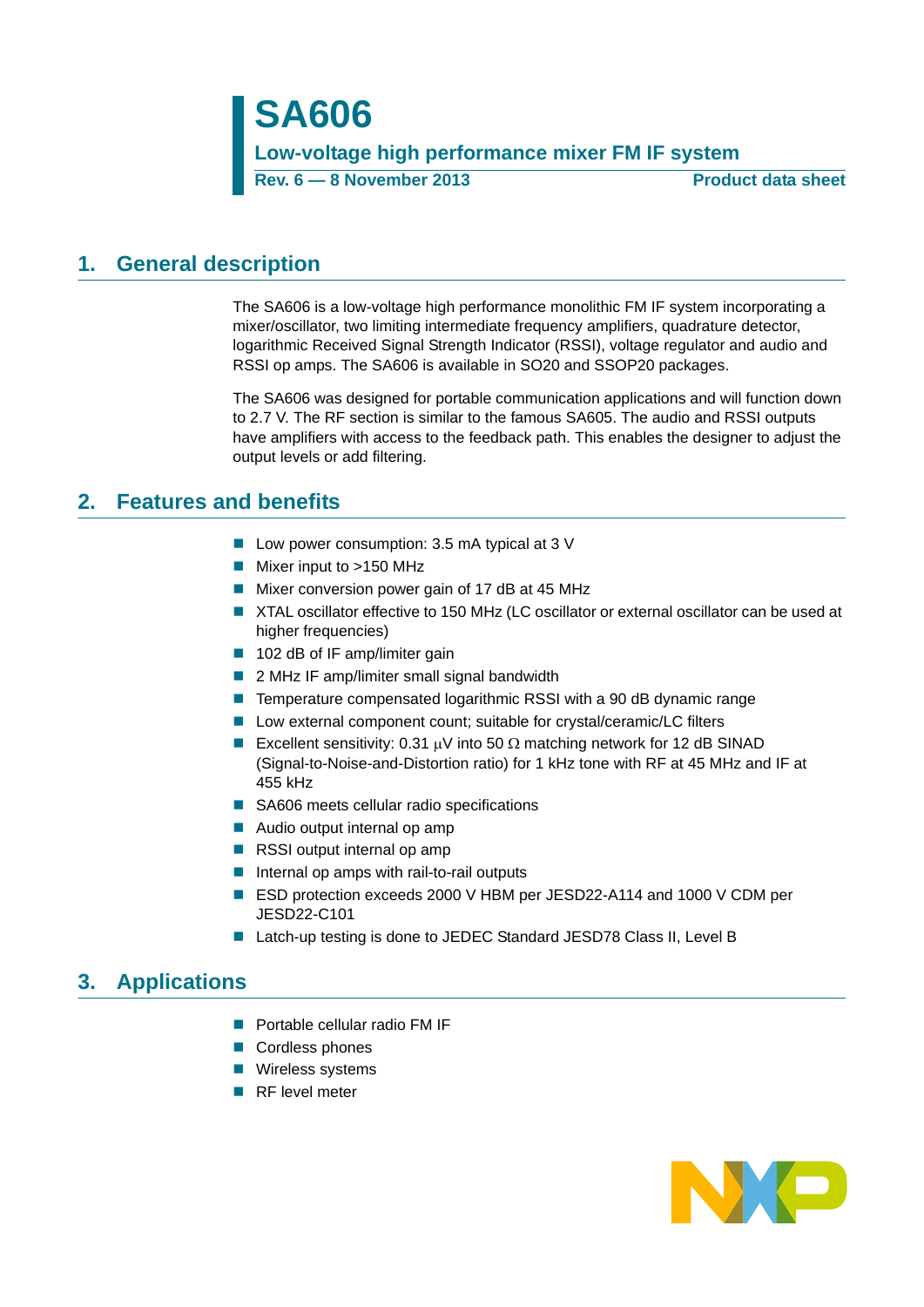**SA606 Low-voltage high performance mixer FM IF system Rev. 6 — 8 November 2013 Product data sheet**

## <span id="page-0-0"></span>**1. General description**

The SA606 is a low-voltage high performance monolithic FM IF system incorporating a mixer/oscillator, two limiting intermediate frequency amplifiers, quadrature detector, logarithmic Received Signal Strength Indicator (RSSI), voltage regulator and audio and RSSI op amps. The SA606 is available in SO20 and SSOP20 packages.

The SA606 was designed for portable communication applications and will function down to 2.7 V. The RF section is similar to the famous SA605. The audio and RSSI outputs have amplifiers with access to the feedback path. This enables the designer to adjust the output levels or add filtering.

## <span id="page-0-1"></span>**2. Features and benefits**

- Low power consumption: 3.5 mA typical at 3 V
- Mixer input to >150 MHz
- Mixer conversion power gain of 17 dB at 45 MHz
- XTAL oscillator effective to 150 MHz (LC oscillator or external oscillator can be used at higher frequencies)
- 102 dB of IF amp/limiter gain
- 2 MHz IF amp/limiter small signal bandwidth
- Temperature compensated logarithmic RSSI with a 90 dB dynamic range
- Low external component count; suitable for crystal/ceramic/LC filters
- Excellent sensitivity: 0.31  $\mu$ V into 50  $\Omega$  matching network for 12 dB SINAD (Signal-to-Noise-and-Distortion ratio) for 1 kHz tone with RF at 45 MHz and IF at 455 kHz
- SA606 meets cellular radio specifications
- Audio output internal op amp
- RSSI output internal op amp
- Internal op amps with rail-to-rail outputs
- ESD protection exceeds 2000 V HBM per JESD22-A114 and 1000 V CDM per JESD22-C101
- Latch-up testing is done to JEDEC Standard JESD78 Class II, Level B

## <span id="page-0-2"></span>**3. Applications**

- **Portable cellular radio FM IF**
- Cordless phones
- **Nireless systems**
- RF level meter

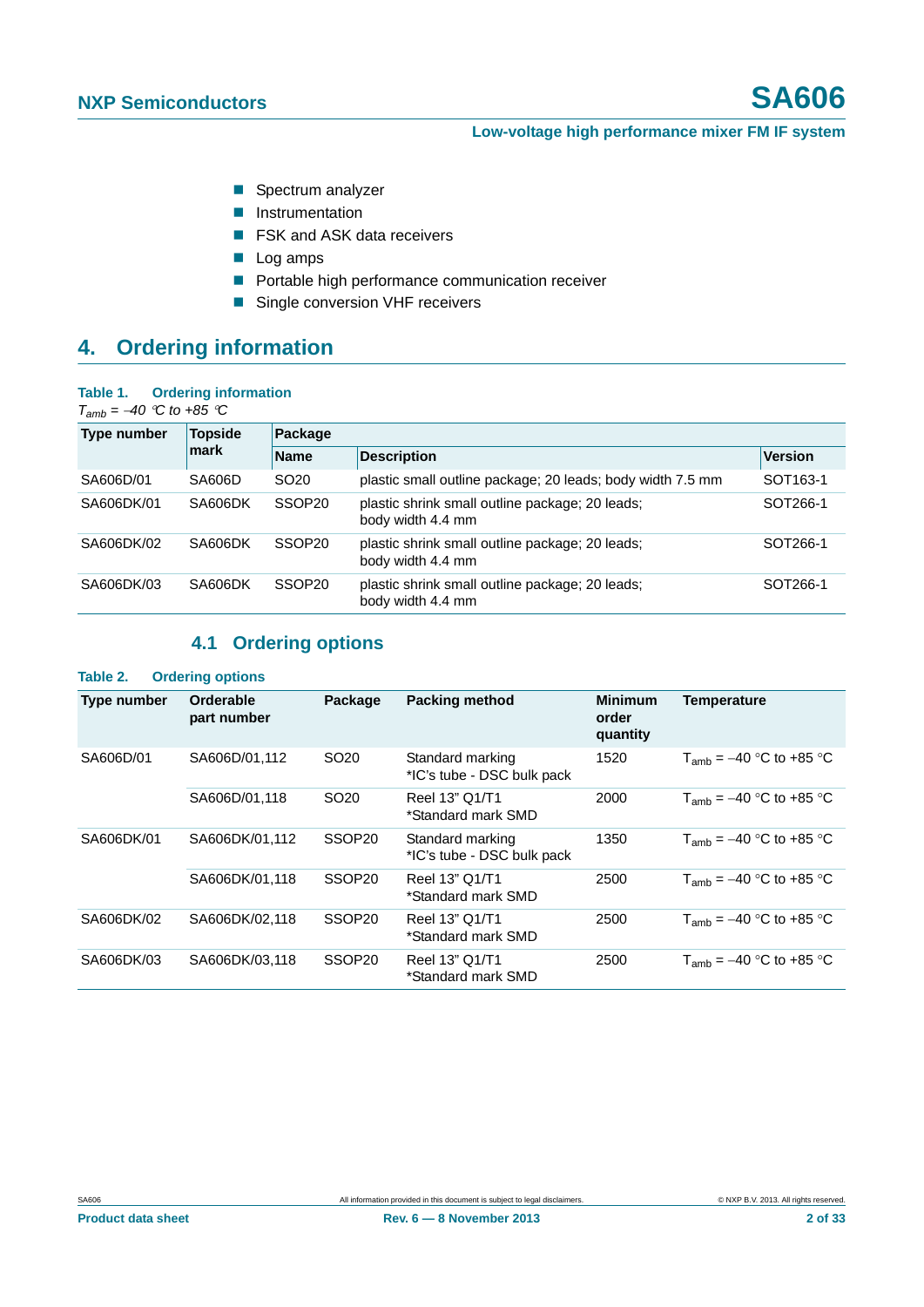- Spectrum analyzer
- **Instrumentation**
- **F** FSK and ASK data receivers
- **Log amps**
- Portable high performance communication receiver
- Single conversion VHF receivers

## <span id="page-1-2"></span>**4. Ordering information**

#### <span id="page-1-1"></span>**Table 1. Ordering information**

 $T_{amb} = -40$  *°C to +85 °C* 

| Type number | <b>Topside</b><br>mark | Package            |                                                                      |                      |  |  |
|-------------|------------------------|--------------------|----------------------------------------------------------------------|----------------------|--|--|
|             |                        | <b>Name</b>        | <b>Description</b>                                                   | <b>Version</b>       |  |  |
| SA606D/01   | SA606D                 | SO <sub>20</sub>   | plastic small outline package; 20 leads; body width 7.5 mm           | SOT <sub>163-1</sub> |  |  |
| SA606DK/01  | SA606DK                | SSOP <sub>20</sub> | plastic shrink small outline package; 20 leads;<br>body width 4.4 mm | SOT266-1             |  |  |
| SA606DK/02  | SA606DK                | SSOP <sub>20</sub> | plastic shrink small outline package; 20 leads;<br>body width 4.4 mm | SOT266-1             |  |  |
| SA606DK/03  | SA606DK                | SSOP <sub>20</sub> | plastic shrink small outline package; 20 leads;<br>body width 4.4 mm | SOT266-1             |  |  |

## **4.1 Ordering options**

### <span id="page-1-0"></span>**Table 2. Ordering options**

| Type number | Orderable<br>part number | Package            | <b>Packing method</b>                          | <b>Minimum</b><br>order<br>quantity | <b>Temperature</b>             |
|-------------|--------------------------|--------------------|------------------------------------------------|-------------------------------------|--------------------------------|
| SA606D/01   | SA606D/01,112            | SO <sub>20</sub>   | Standard marking<br>*IC's tube - DSC bulk pack | 1520                                | $T_{amb} = -40$ °C to +85 °C   |
|             | SA606D/01,118            | SO <sub>20</sub>   | Reel 13" Q1/T1<br>*Standard mark SMD           | 2000                                | $T_{amb}$ = $-40$ °C to +85 °C |
| SA606DK/01  | SA606DK/01.112           | SSOP <sub>20</sub> | Standard marking<br>*IC's tube - DSC bulk pack | 1350                                | $T_{amb}$ = $-40$ °C to +85 °C |
|             | SA606DK/01,118           | SSOP <sub>20</sub> | Reel 13" Q1/T1<br>*Standard mark SMD           | 2500                                | $T_{amb} = -40$ °C to +85 °C   |
| SA606DK/02  | SA606DK/02,118           | SSOP <sub>20</sub> | Reel 13" Q1/T1<br>*Standard mark SMD           | 2500                                | $T_{amb} = -40$ °C to +85 °C   |
| SA606DK/03  | SA606DK/03.118           | SSOP <sub>20</sub> | Reel 13" Q1/T1<br>*Standard mark SMD           | 2500                                | $T_{amb}$ = $-40$ °C to +85 °C |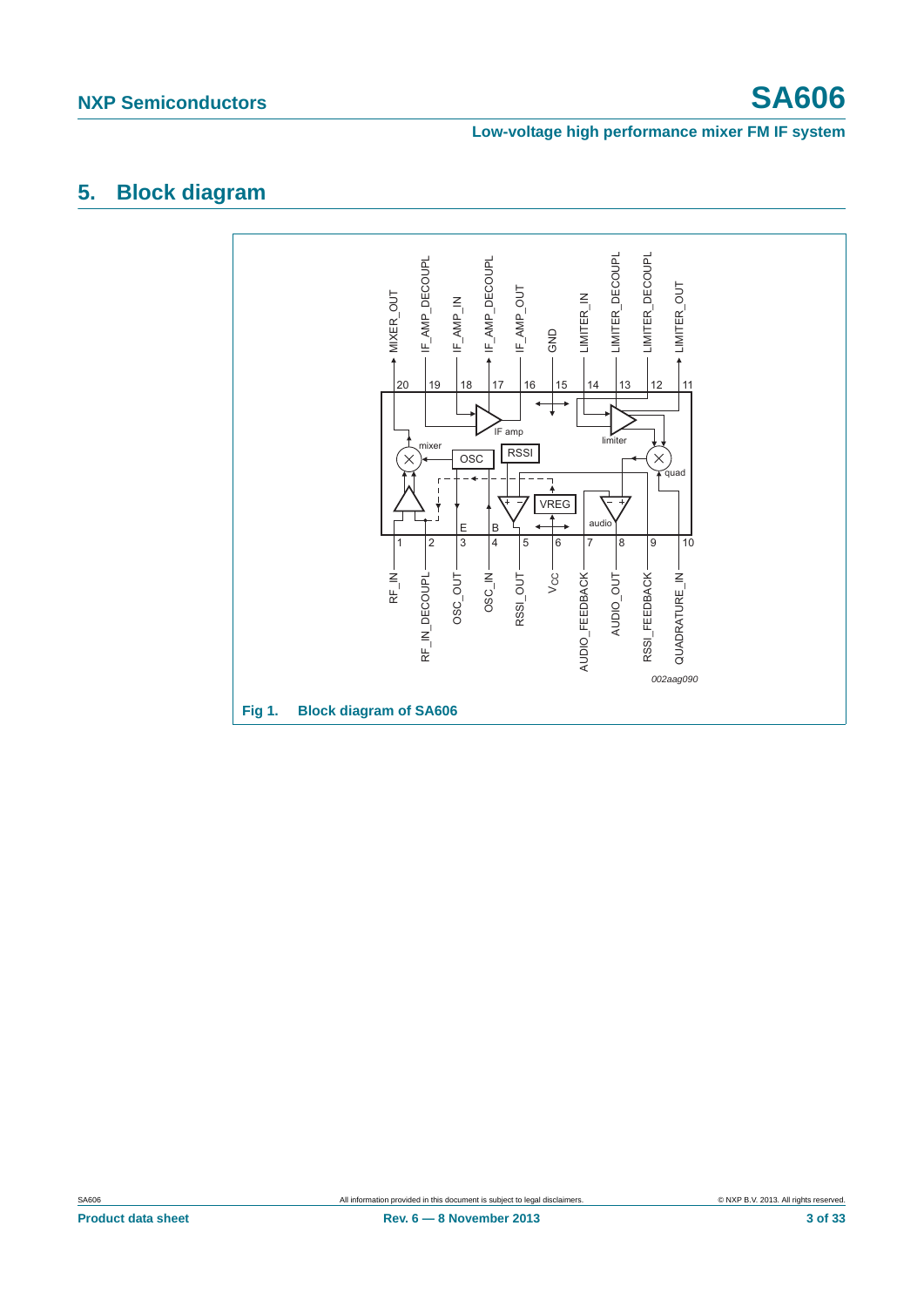## <span id="page-2-0"></span>**5. Block diagram**

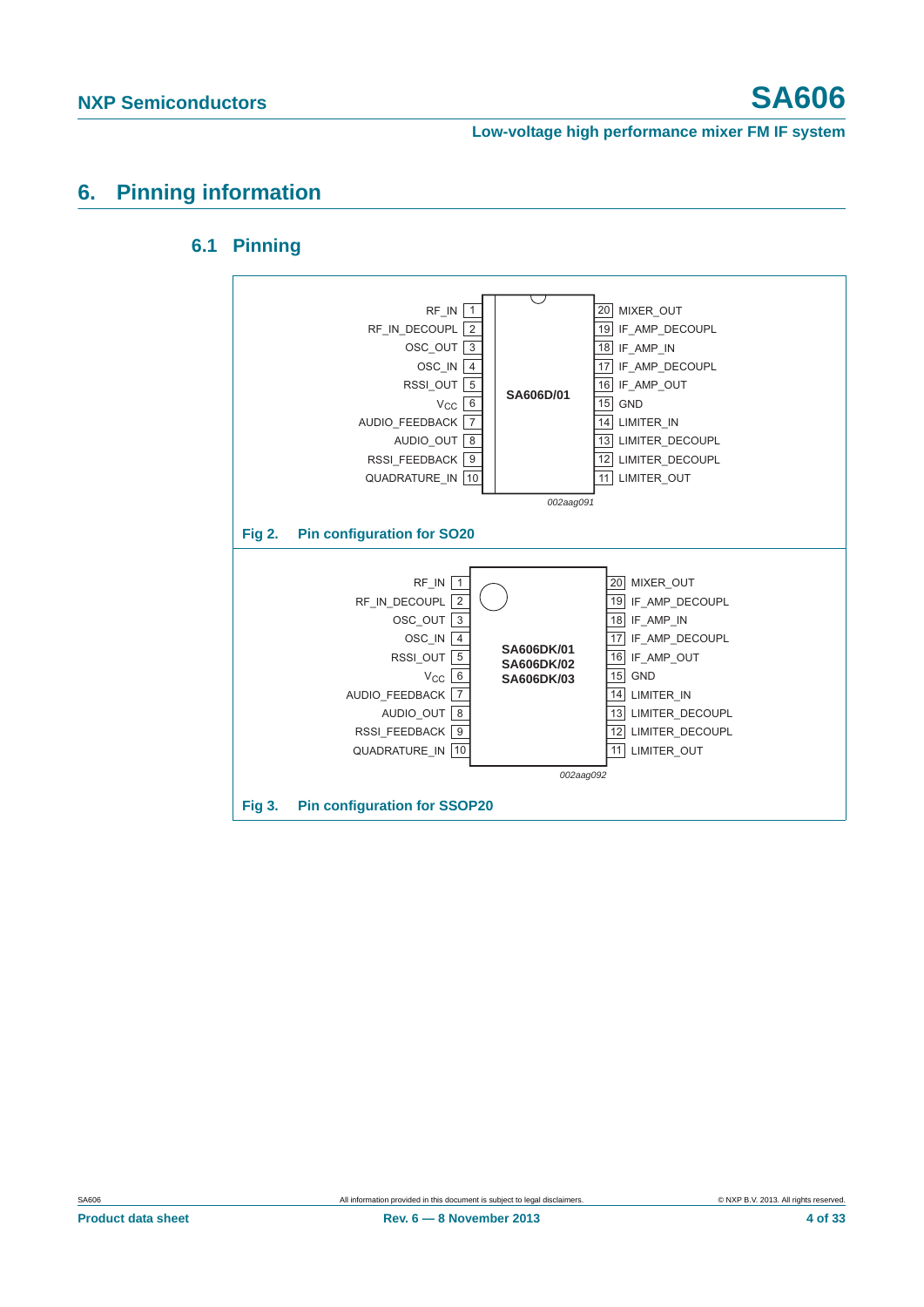## <span id="page-3-2"></span><span id="page-3-1"></span>**6. Pinning information**



### **6.1 Pinning**

<span id="page-3-0"></span>**Product data sheet** 4 of 33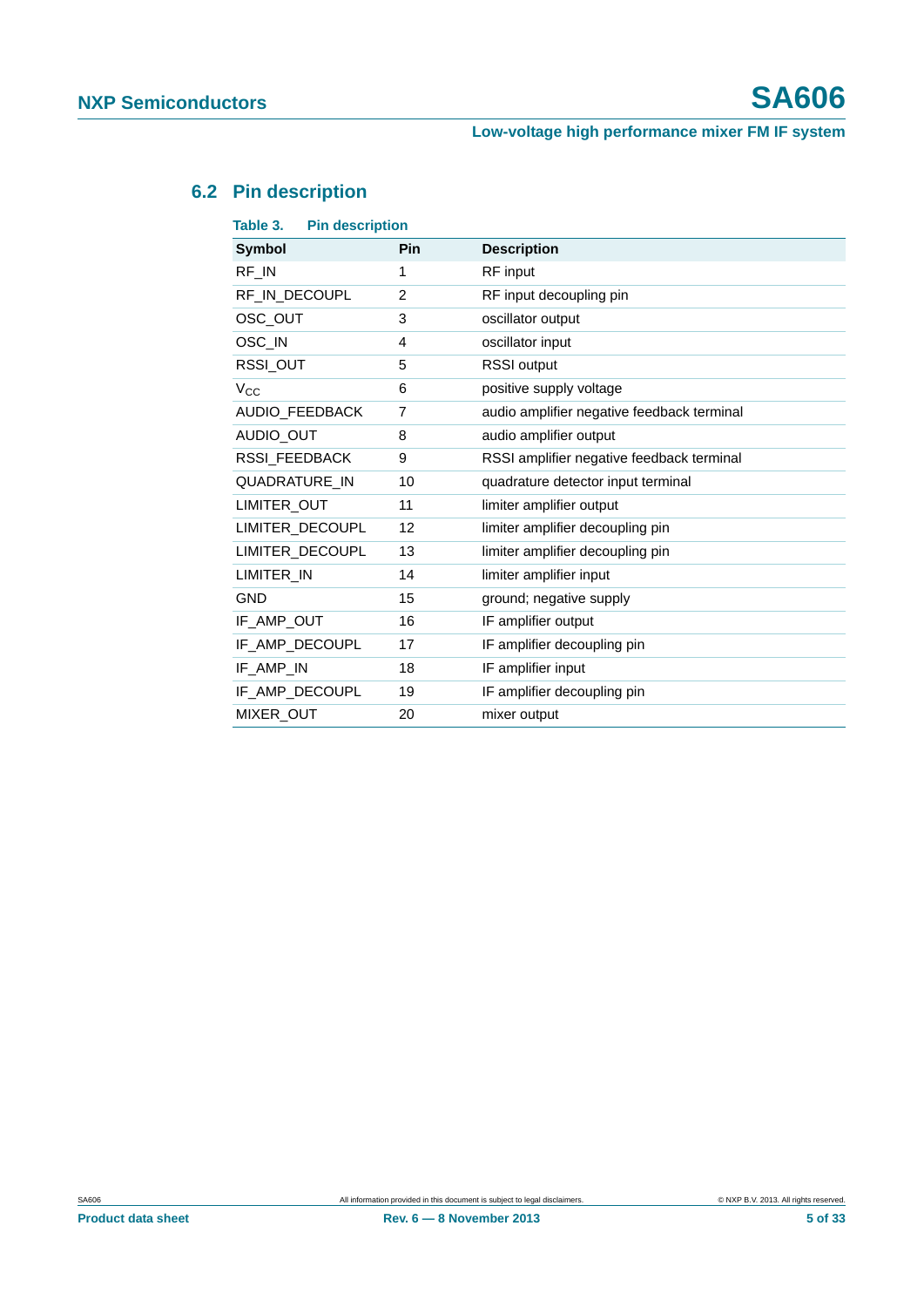## <span id="page-4-0"></span>**6.2 Pin description**

| <b>Pin description</b><br>Table 3. |     |                                            |
|------------------------------------|-----|--------------------------------------------|
| <b>Symbol</b>                      | Pin | <b>Description</b>                         |
| RF_IN                              | 1   | RF input                                   |
| RF_IN_DECOUPL                      | 2   | RF input decoupling pin                    |
| OSC_OUT                            | 3   | oscillator output                          |
| OSC_IN                             | 4   | oscillator input                           |
| RSSI_OUT                           | 5   | <b>RSSI</b> output                         |
| $V_{\rm CC}$                       | 6   | positive supply voltage                    |
| AUDIO FEEDBACK                     | 7   | audio amplifier negative feedback terminal |
| AUDIO_OUT                          | 8   | audio amplifier output                     |
| <b>RSSI FEEDBACK</b>               | 9   | RSSI amplifier negative feedback terminal  |
| QUADRATURE_IN                      | 10  | quadrature detector input terminal         |
| LIMITER_OUT                        | 11  | limiter amplifier output                   |
| LIMITER_DECOUPL                    | 12  | limiter amplifier decoupling pin           |
| LIMITER DECOUPL                    | 13  | limiter amplifier decoupling pin           |
| LIMITER IN                         | 14  | limiter amplifier input                    |
| <b>GND</b>                         | 15  | ground; negative supply                    |
| IF AMP OUT                         | 16  | IF amplifier output                        |
| IF_AMP_DECOUPL                     | 17  | IF amplifier decoupling pin                |
| IF AMP IN                          | 18  | IF amplifier input                         |
| IF_AMP_DECOUPL                     | 19  | IF amplifier decoupling pin                |
| MIXER_OUT                          | 20  | mixer output                               |
|                                    |     |                                            |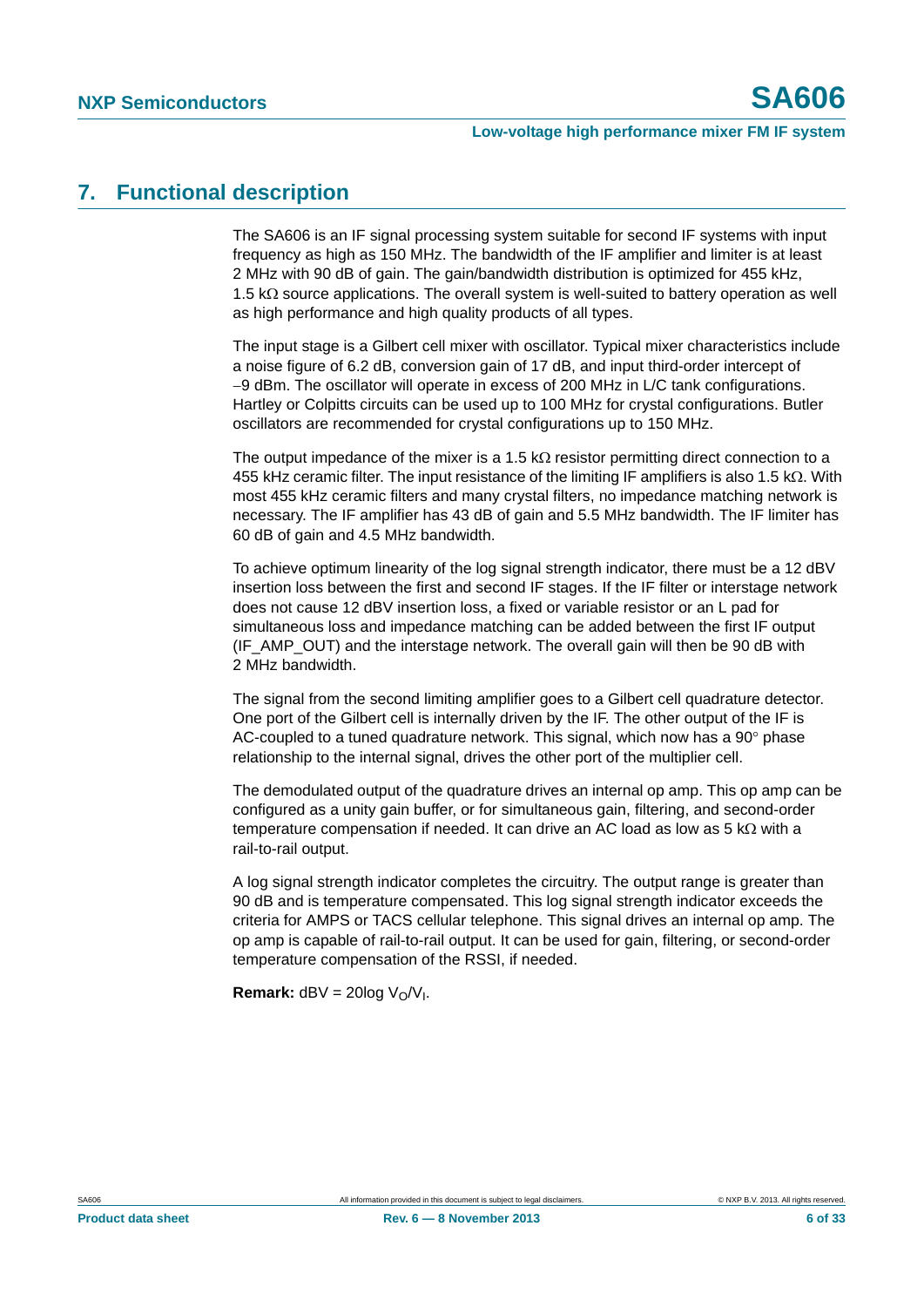## <span id="page-5-0"></span>**7. Functional description**

The SA606 is an IF signal processing system suitable for second IF systems with input frequency as high as 150 MHz. The bandwidth of the IF amplifier and limiter is at least 2 MHz with 90 dB of gain. The gain/bandwidth distribution is optimized for 455 kHz, 1.5  $k\Omega$  source applications. The overall system is well-suited to battery operation as well as high performance and high quality products of all types.

The input stage is a Gilbert cell mixer with oscillator. Typical mixer characteristics include a noise figure of 6.2 dB, conversion gain of 17 dB, and input third-order intercept of -9 dBm. The oscillator will operate in excess of 200 MHz in L/C tank configurations. Hartley or Colpitts circuits can be used up to 100 MHz for crystal configurations. Butler oscillators are recommended for crystal configurations up to 150 MHz.

The output impedance of the mixer is a 1.5 k $\Omega$  resistor permitting direct connection to a 455 kHz ceramic filter. The input resistance of the limiting IF amplifiers is also 1.5 k $\Omega$ . With most 455 kHz ceramic filters and many crystal filters, no impedance matching network is necessary. The IF amplifier has 43 dB of gain and 5.5 MHz bandwidth. The IF limiter has 60 dB of gain and 4.5 MHz bandwidth.

To achieve optimum linearity of the log signal strength indicator, there must be a 12 dBV insertion loss between the first and second IF stages. If the IF filter or interstage network does not cause 12 dBV insertion loss, a fixed or variable resistor or an L pad for simultaneous loss and impedance matching can be added between the first IF output (IF AMP OUT) and the interstage network. The overall gain will then be 90 dB with 2 MHz bandwidth.

The signal from the second limiting amplifier goes to a Gilbert cell quadrature detector. One port of the Gilbert cell is internally driven by the IF. The other output of the IF is AC-coupled to a tuned quadrature network. This signal, which now has a  $90^\circ$  phase relationship to the internal signal, drives the other port of the multiplier cell.

The demodulated output of the quadrature drives an internal op amp. This op amp can be configured as a unity gain buffer, or for simultaneous gain, filtering, and second-order temperature compensation if needed. It can drive an AC load as low as 5  $k\Omega$  with a rail-to-rail output.

A log signal strength indicator completes the circuitry. The output range is greater than 90 dB and is temperature compensated. This log signal strength indicator exceeds the criteria for AMPS or TACS cellular telephone. This signal drives an internal op amp. The op amp is capable of rail-to-rail output. It can be used for gain, filtering, or second-order temperature compensation of the RSSI, if needed.

**Remark:**  $dBV = 20log V<sub>O</sub>/V<sub>I</sub>$ .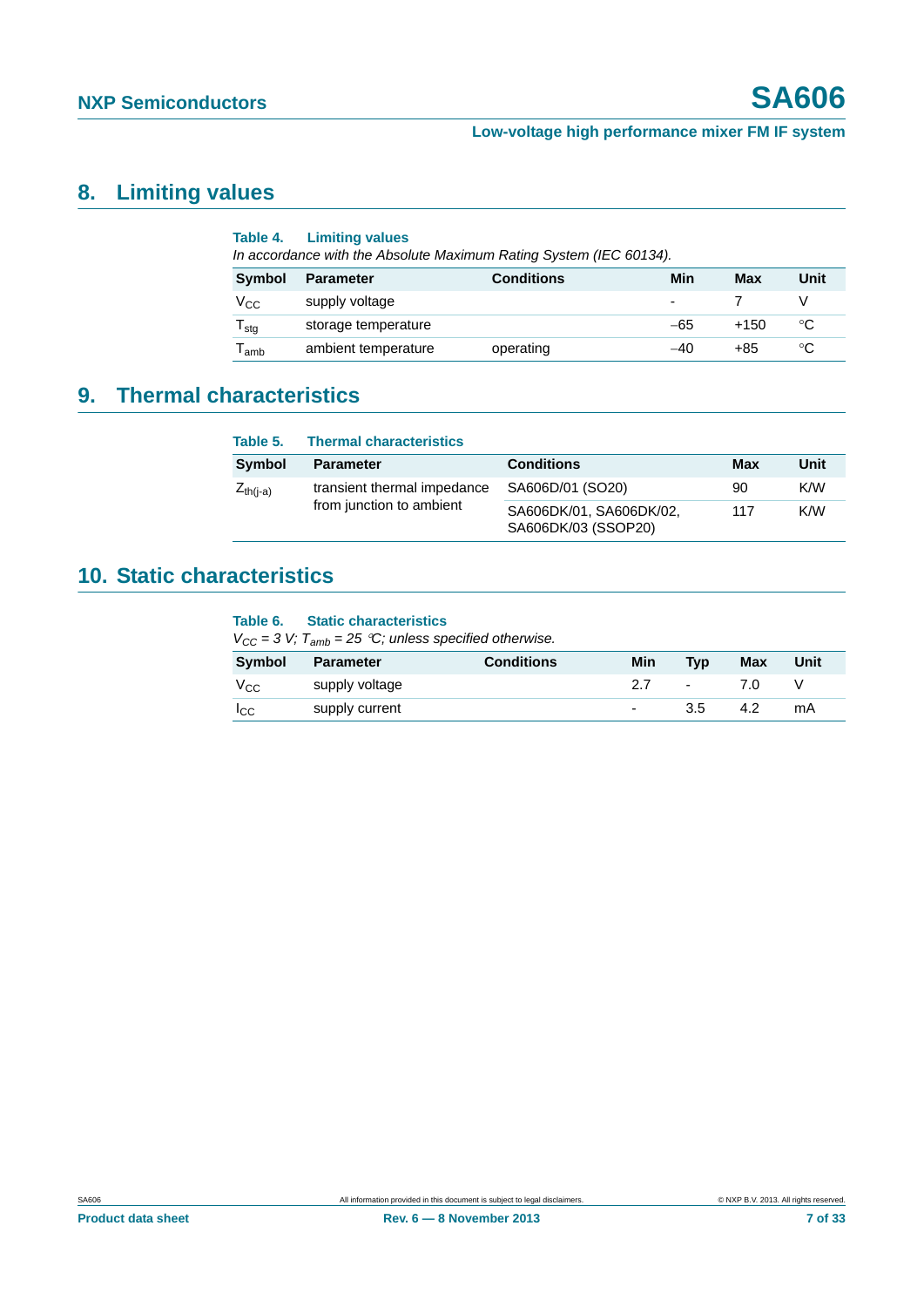# <span id="page-6-1"></span>**8. Limiting values**

| Table 4.                    | <b>Limiting values</b><br>In accordance with the Absolute Maximum Rating System (IEC 60134). |                   |       |        |      |
|-----------------------------|----------------------------------------------------------------------------------------------|-------------------|-------|--------|------|
| Symbol                      | <b>Parameter</b>                                                                             | <b>Conditions</b> | Min   | Max    | Unit |
| Vcc                         | supply voltage                                                                               |                   |       |        | V    |
| ${\mathsf T}_{\text{stg}}$  | storage temperature                                                                          |                   | $-65$ | $+150$ | °C   |
| $\mathsf{T}_{\mathsf{amb}}$ | ambient temperature                                                                          | operating         | $-40$ | +85    | °C   |

# <span id="page-6-2"></span>**9. Thermal characteristics**

<span id="page-6-0"></span>

| Table 5.      | <b>Thermal characteristics</b> |                                                |     |      |
|---------------|--------------------------------|------------------------------------------------|-----|------|
| Symbol        | <b>Parameter</b>               | <b>Conditions</b>                              | Max | Unit |
| $Z_{th(i-a)}$ | transient thermal impedance    | SA606D/01 (SO20)                               | 90  | K/W  |
|               | from junction to ambient       | SA606DK/01, SA606DK/02,<br>SA606DK/03 (SSOP20) | 117 | K/W  |

# <span id="page-6-3"></span>**10. Static characteristics**

### **Table 6. Static characteristics**

 $V_{CC} = 3 V$ ;  $T_{amb} = 25 °C$ ; unless specified otherwise.

| Symbol        | Parameter      | <b>Conditions</b> | Min            | <b>Typ</b> | Max | Unit |
|---------------|----------------|-------------------|----------------|------------|-----|------|
| $V_{\rm CC}$  | supply voltage |                   |                | $\sim$     | 70  |      |
| $_{\rm{LCC}}$ | supply current |                   | $\overline{a}$ | 3.5        | 4.2 | mA   |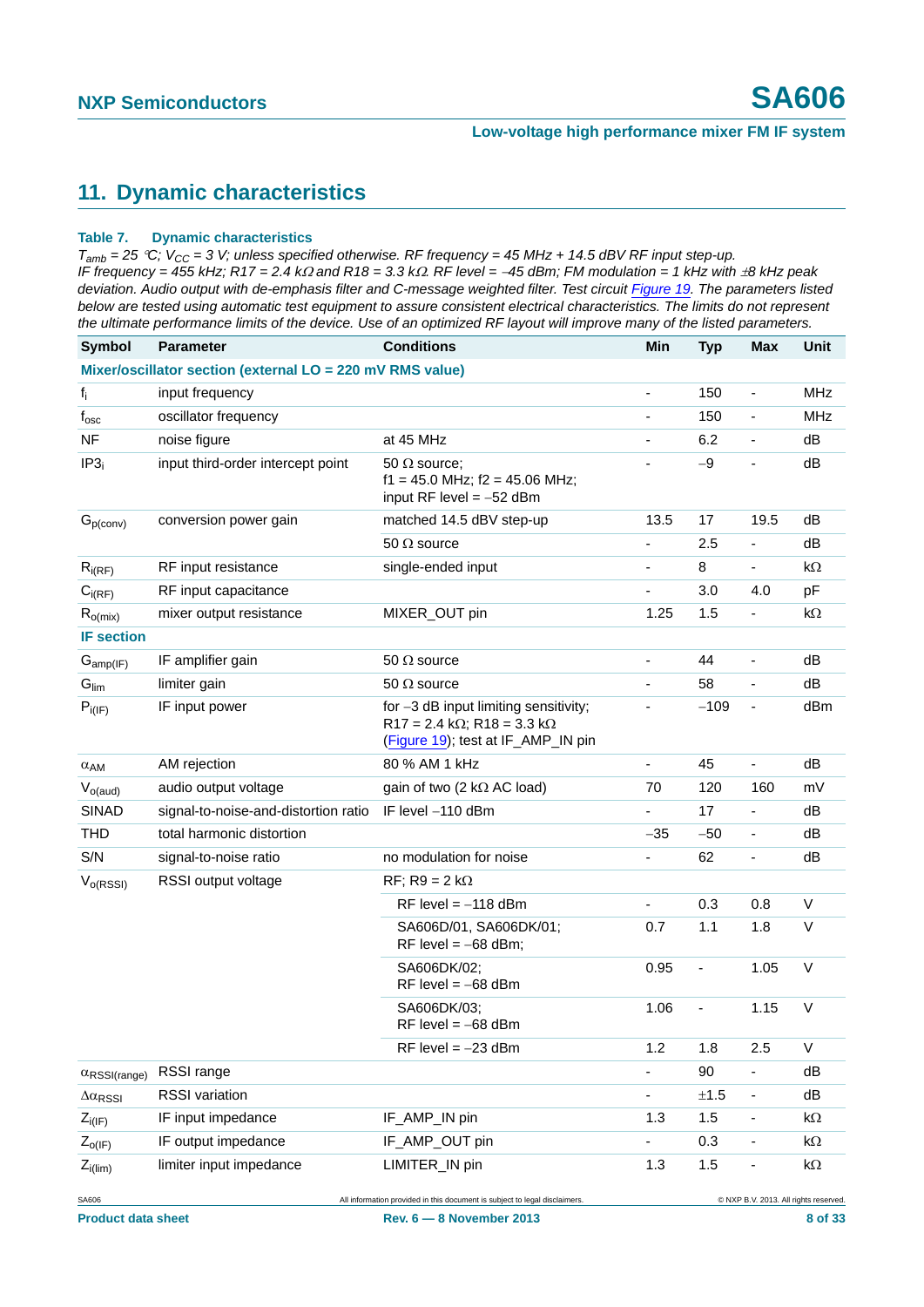## <span id="page-7-1"></span>**11. Dynamic characteristics**

#### <span id="page-7-0"></span>**Table 7. Dynamic characteristics**

 $T_{amb}$  = 25 °C;  $V_{CC}$  = 3 V; unless specified otherwise. RF frequency = 45 MHz + 14.5 dBV RF input step-up. *IF frequency = 455 kHz; R17 = 2.4 k and R18 = 3.3 k. RF level = 45 dBm; FM modulation = 1 kHz with 8 kHz peak*  deviation. Audio output with de-emphasis filter and C-message weighted filter. Test circuit *[Figure 19](#page-18-0)*. The parameters listed *below are tested using automatic test equipment to assure consistent electrical characteristics. The limits do not represent the ultimate performance limits of the device. Use of an optimized RF layout will improve many of the listed parameters.*

| <b>Symbol</b>                 | <b>Parameter</b>                                          | <b>Conditions</b>                                                                                                         | Min                          | <b>Typ</b>     | Max                                   | Unit       |
|-------------------------------|-----------------------------------------------------------|---------------------------------------------------------------------------------------------------------------------------|------------------------------|----------------|---------------------------------------|------------|
|                               | Mixer/oscillator section (external LO = 220 mV RMS value) |                                                                                                                           |                              |                |                                       |            |
| $f_i$                         | input frequency                                           |                                                                                                                           | $\blacksquare$               | 150            | $\qquad \qquad \blacksquare$          | <b>MHz</b> |
| $f_{\rm osc}$                 | oscillator frequency                                      |                                                                                                                           |                              | 150            |                                       | <b>MHz</b> |
| <b>NF</b>                     | noise figure                                              | at 45 MHz                                                                                                                 | $\blacksquare$               | 6.2            | -                                     | dB         |
| IP3 <sub>i</sub>              | input third-order intercept point                         | 50 $\Omega$ source;<br>$f1 = 45.0$ MHz; $f2 = 45.06$ MHz;<br>input RF level = $-52$ dBm                                   |                              | $-9$           | ٠                                     | dB         |
| G <sub>p</sub> (conv)         | conversion power gain                                     | matched 14.5 dBV step-up                                                                                                  | 13.5                         | 17             | 19.5                                  | dB         |
|                               |                                                           | 50 $\Omega$ source                                                                                                        | ٠                            | 2.5            |                                       | dB         |
| $R_{i(RF)}$                   | RF input resistance                                       | single-ended input                                                                                                        | $\overline{\phantom{a}}$     | 8              | $\qquad \qquad \blacksquare$          | $k\Omega$  |
| $C_{i(RF)}$                   | RF input capacitance                                      |                                                                                                                           |                              | 3.0            | 4.0                                   | pF         |
| $R_{o(mix)}$                  | mixer output resistance                                   | MIXER_OUT pin                                                                                                             | 1.25                         | 1.5            |                                       | $k\Omega$  |
| <b>IF section</b>             |                                                           |                                                                                                                           |                              |                |                                       |            |
| $G_{amp(IF)}$                 | IF amplifier gain                                         | 50 $\Omega$ source                                                                                                        | ä,                           | 44             |                                       | dB         |
| $G_{\text{lim}}$              | limiter gain                                              | 50 $\Omega$ source                                                                                                        | ä,                           | 58             | ÷,                                    | dB         |
| $P_{i(IF)}$                   | IF input power                                            | for -3 dB input limiting sensitivity;<br>$R17 = 2.4 k\Omega$ ; R18 = 3.3 k $\Omega$<br>(Figure 19); test at IF_AMP_IN pin |                              | $-109$         | $\qquad \qquad \blacksquare$          | dBm        |
| $\alpha_{AM}$                 | AM rejection                                              | 80 % AM 1 kHz                                                                                                             | $\blacksquare$               | 45             | $\frac{1}{2}$                         | dB         |
| $V_{o(aud)}$                  | audio output voltage                                      | gain of two (2 k $\Omega$ AC load)                                                                                        | 70                           | 120            | 160                                   | mV         |
| <b>SINAD</b>                  | signal-to-noise-and-distortion ratio                      | IF level -110 dBm                                                                                                         | $\blacksquare$               | 17             |                                       | dB         |
| <b>THD</b>                    | total harmonic distortion                                 |                                                                                                                           | $-35$                        | $-50$          |                                       | dB         |
| S/N                           | signal-to-noise ratio                                     | no modulation for noise                                                                                                   | $\qquad \qquad \blacksquare$ | 62             | $\overline{\phantom{0}}$              | dB         |
| $V_{o(RSSI)}$                 | RSSI output voltage                                       | $RF: R9 = 2 k\Omega$                                                                                                      |                              |                |                                       |            |
|                               |                                                           | RF level $= -118$ dBm                                                                                                     | $\blacksquare$               | 0.3            | 0.8                                   | V          |
|                               |                                                           | SA606D/01, SA606DK/01;<br>RF level = $-68$ dBm;                                                                           | 0.7                          | 1.1            | 1.8                                   | $\vee$     |
|                               |                                                           | SA606DK/02:<br>RF level = $-68$ dBm                                                                                       | 0.95                         | $\blacksquare$ | 1.05                                  | $\vee$     |
|                               |                                                           | SA606DK/03;<br>RF level $= -68$ dBm                                                                                       | 1.06                         | ä,             | 1.15                                  | $\vee$     |
|                               |                                                           | RF level $= -23$ dBm                                                                                                      | 1.2                          | 1.8            | 2.5                                   | V          |
| $\alpha$ RSSI(range)          | RSSI range                                                |                                                                                                                           | $\qquad \qquad \blacksquare$ | 90             |                                       | dB         |
| $\Delta \alpha_{\text{RSSI}}$ | <b>RSSI</b> variation                                     |                                                                                                                           |                              | $\pm 1.5$      | $\overline{\phantom{0}}$              | dB         |
| $Z_{i(IF)}$                   | IF input impedance                                        | IF_AMP_IN pin                                                                                                             | 1.3                          | 1.5            | -                                     | kΩ         |
| $Z_{O( F)}$                   | IF output impedance                                       | IF_AMP_OUT pin                                                                                                            |                              | 0.3            |                                       | kΩ         |
| $Z_{i(lim)}$                  | limiter input impedance                                   | LIMITER_IN pin                                                                                                            | 1.3                          | 1.5            | -                                     | kΩ         |
| SA606                         |                                                           | All information provided in this document is subject to legal disclaimers.                                                |                              |                | © NXP B.V. 2013. All rights reserved. |            |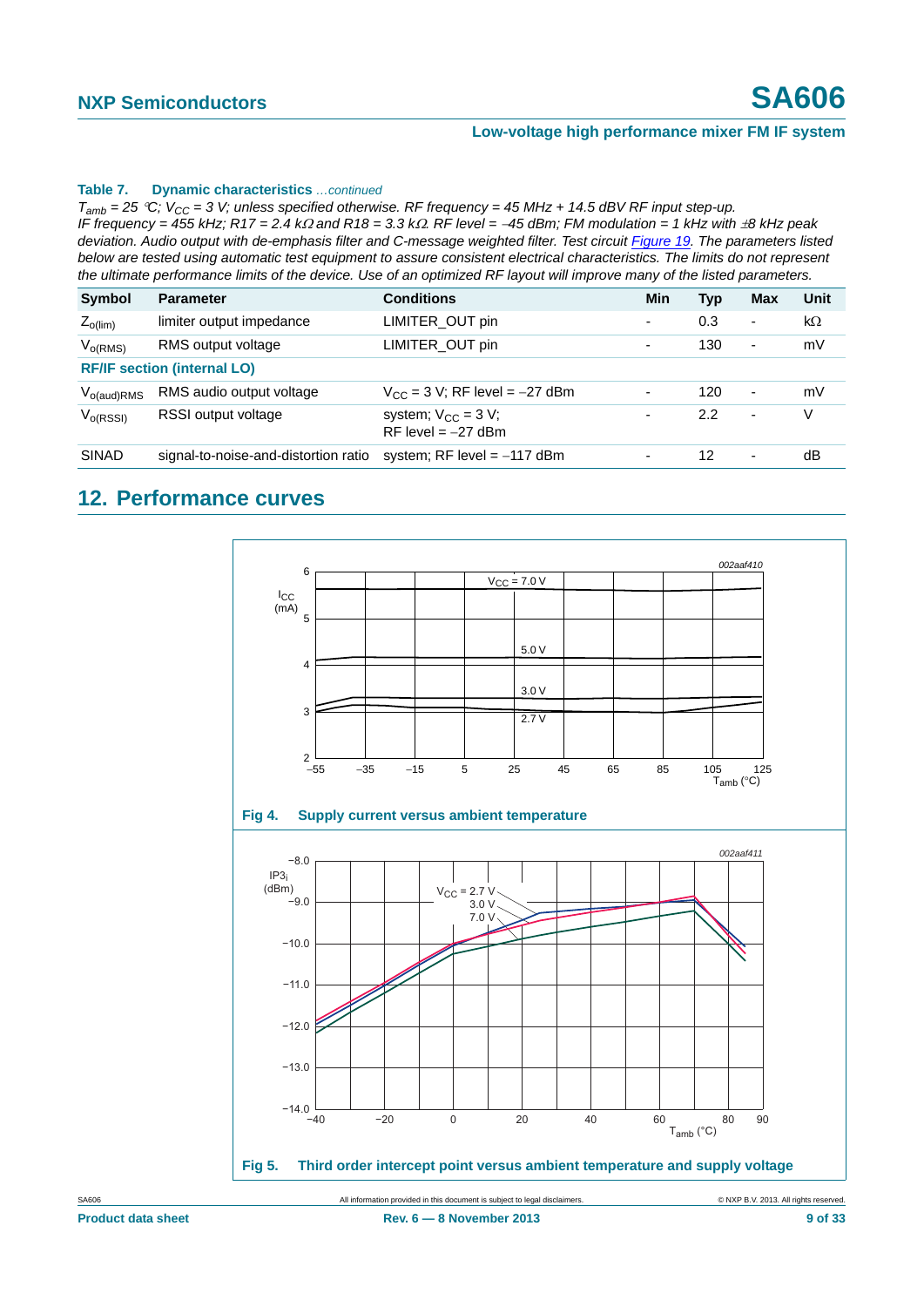# **NXP Semiconductors SA606**

#### **Low-voltage high performance mixer FM IF system**

#### **Table 7. Dynamic characteristics** *…continued*

 $T_{amb}$  = 25 °C;  $V_{CC}$  = 3 V; unless specified otherwise. RF frequency = 45 MHz + 14.5 dBV RF input step-up. *IF frequency = 455 kHz; R17 = 2.4 k* $\Omega$  *and R18 = 3.3 k* $\Omega$ *. RF level = -45 dBm; FM modulation = 1 kHz with*  $\pm 8$  *kHz peak deviation. Audio output with de-emphasis filter and C-message weighted filter. Test circuit Figure 19. The parameters listed below are tested using automatic test equipment to assure consistent electrical characteristics. The limits do not represent the ultimate performance limits of the device. Use of an optimized RF layout will improve many of the listed parameters.*

| <b>Symbol</b>   | <b>Parameter</b>                     | <b>Conditions</b>                                | Min                      | <b>Typ</b> | Max                      | Unit |
|-----------------|--------------------------------------|--------------------------------------------------|--------------------------|------------|--------------------------|------|
| $Z_{o(lim)}$    | limiter output impedance             | LIMITER_OUT pin                                  | ٠                        | 0.3        | $\overline{\phantom{a}}$ | kΩ   |
| $V_{o(RMS)}$    | RMS output voltage                   | LIMITER OUT pin                                  | ٠                        | 130        | $\overline{\phantom{a}}$ | mV   |
|                 | <b>RF/IF section (internal LO)</b>   |                                                  |                          |            |                          |      |
| $V_{o(aud)RMS}$ | RMS audio output voltage             | $V_{CC}$ = 3 V; RF level = -27 dBm               | $\overline{\phantom{a}}$ | 120        | $\overline{\phantom{a}}$ | mV   |
| $V_{O(RSSI)}$   | RSSI output voltage                  | system; $V_{CC} = 3 V$ ;<br>RF level $= -27$ dBm | ٠                        | 2.2        | $\overline{\phantom{a}}$ | V    |
| <b>SINAD</b>    | signal-to-noise-and-distortion ratio | system; RF level $= -117$ dBm                    | ٠                        | 12         | $\overline{\phantom{a}}$ | dB   |

## <span id="page-8-0"></span>**12. Performance curves**

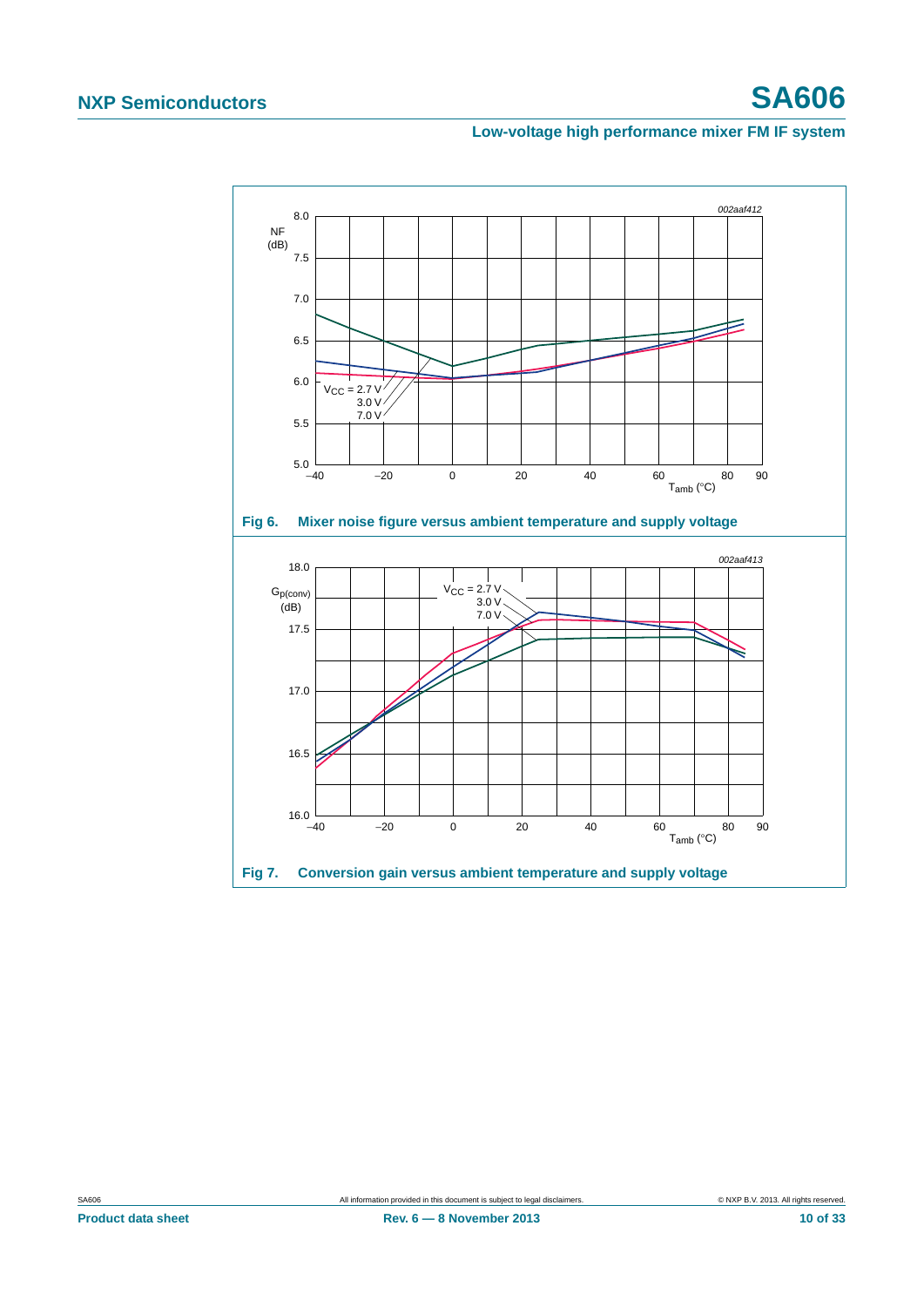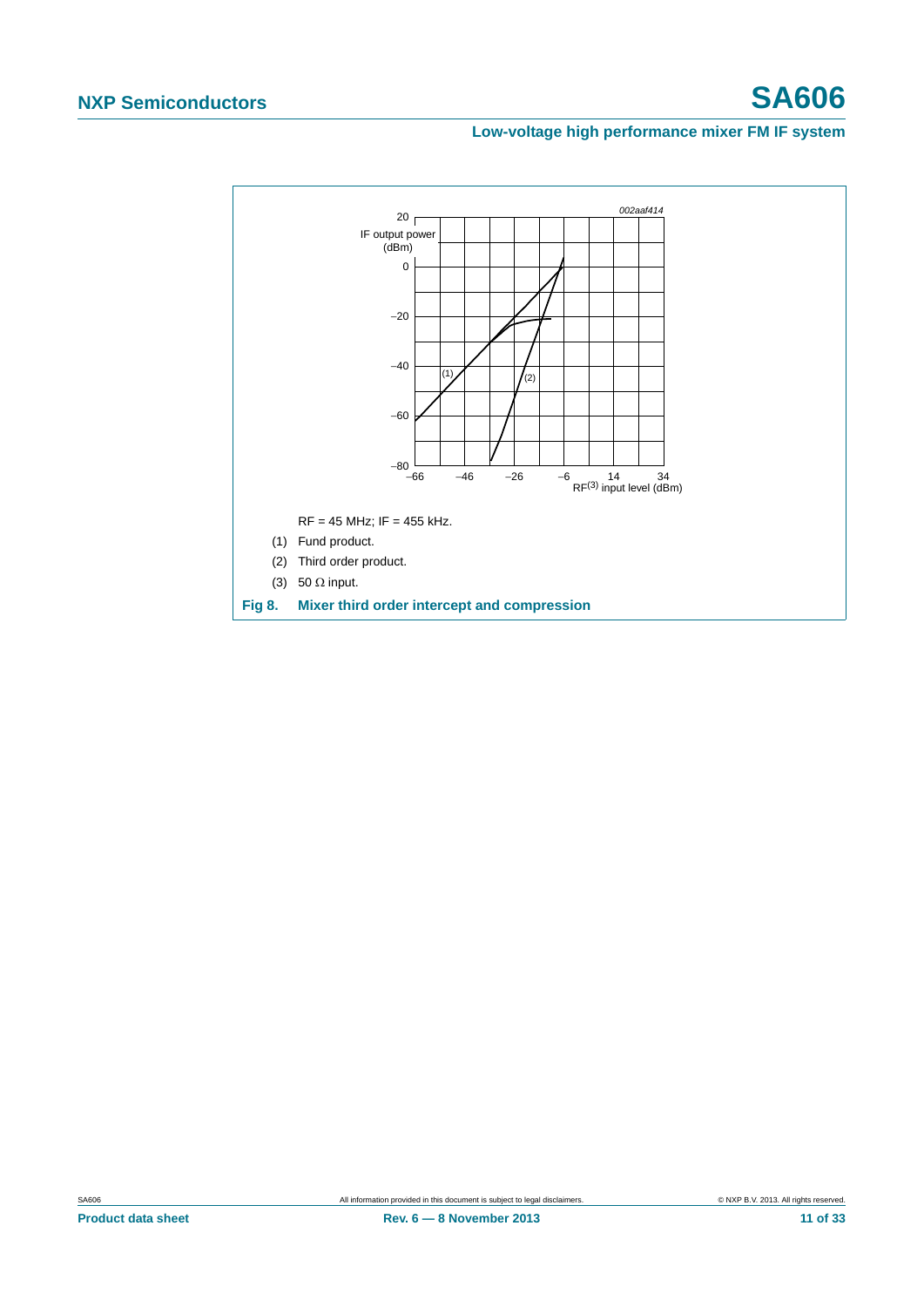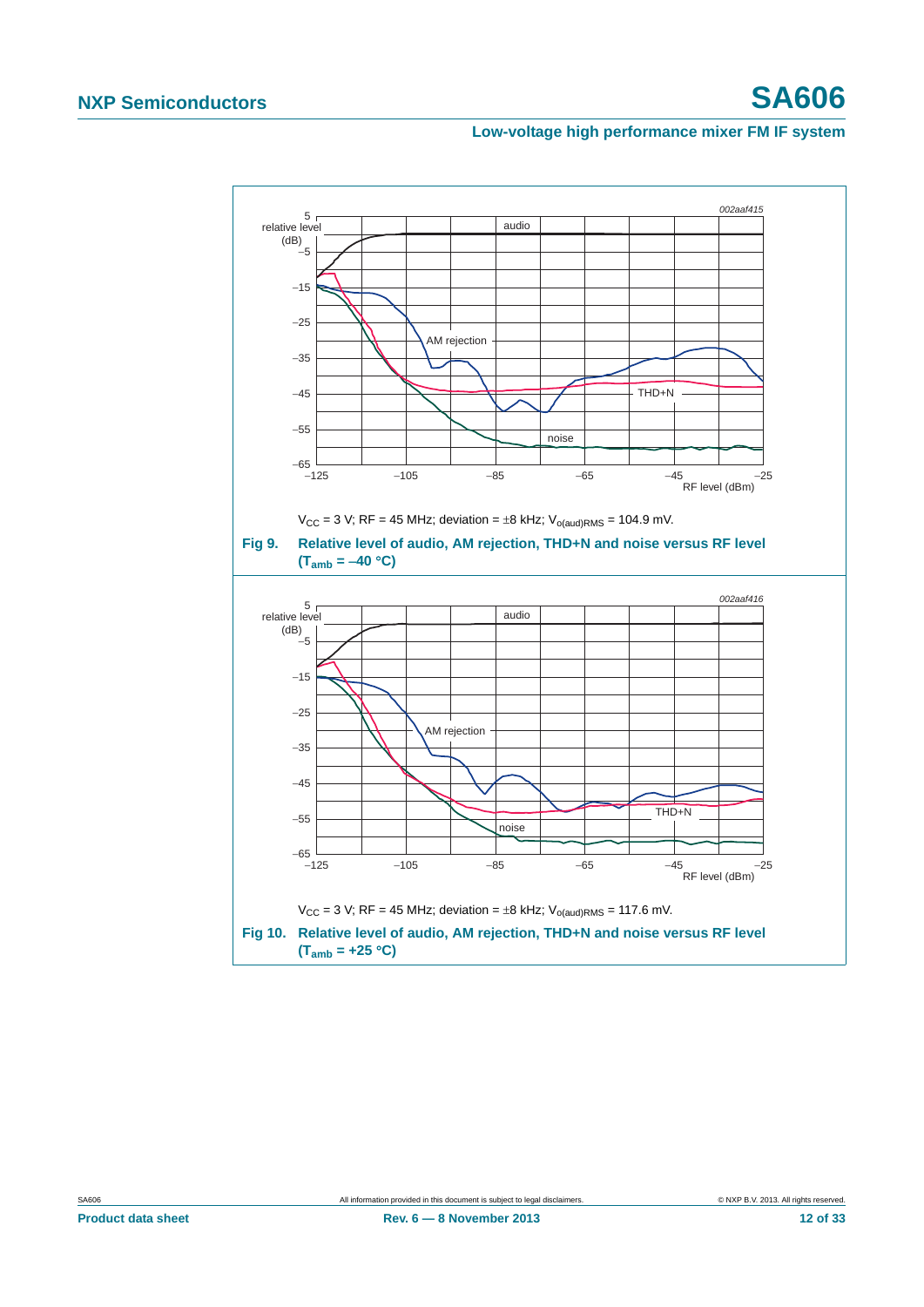<span id="page-11-0"></span>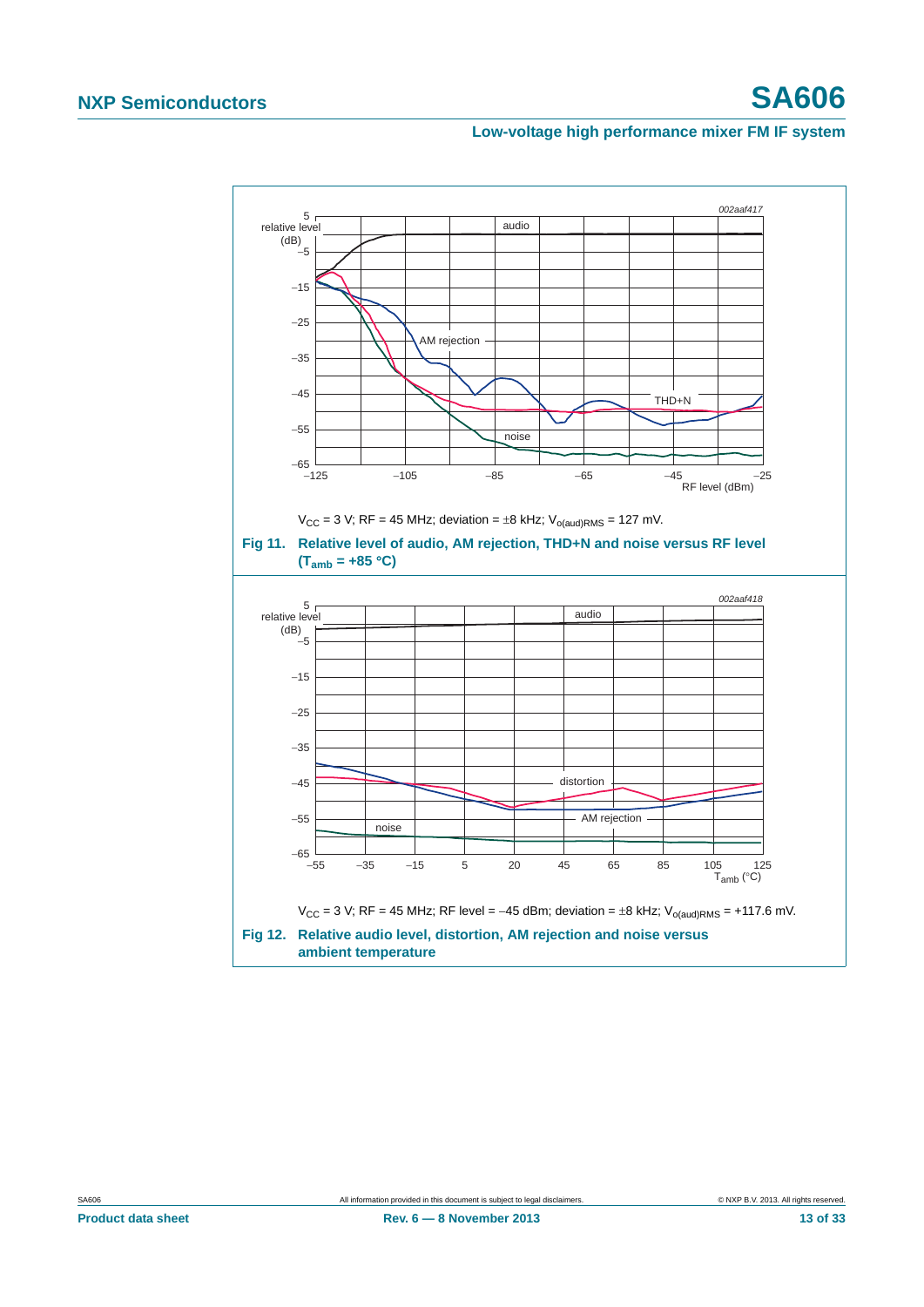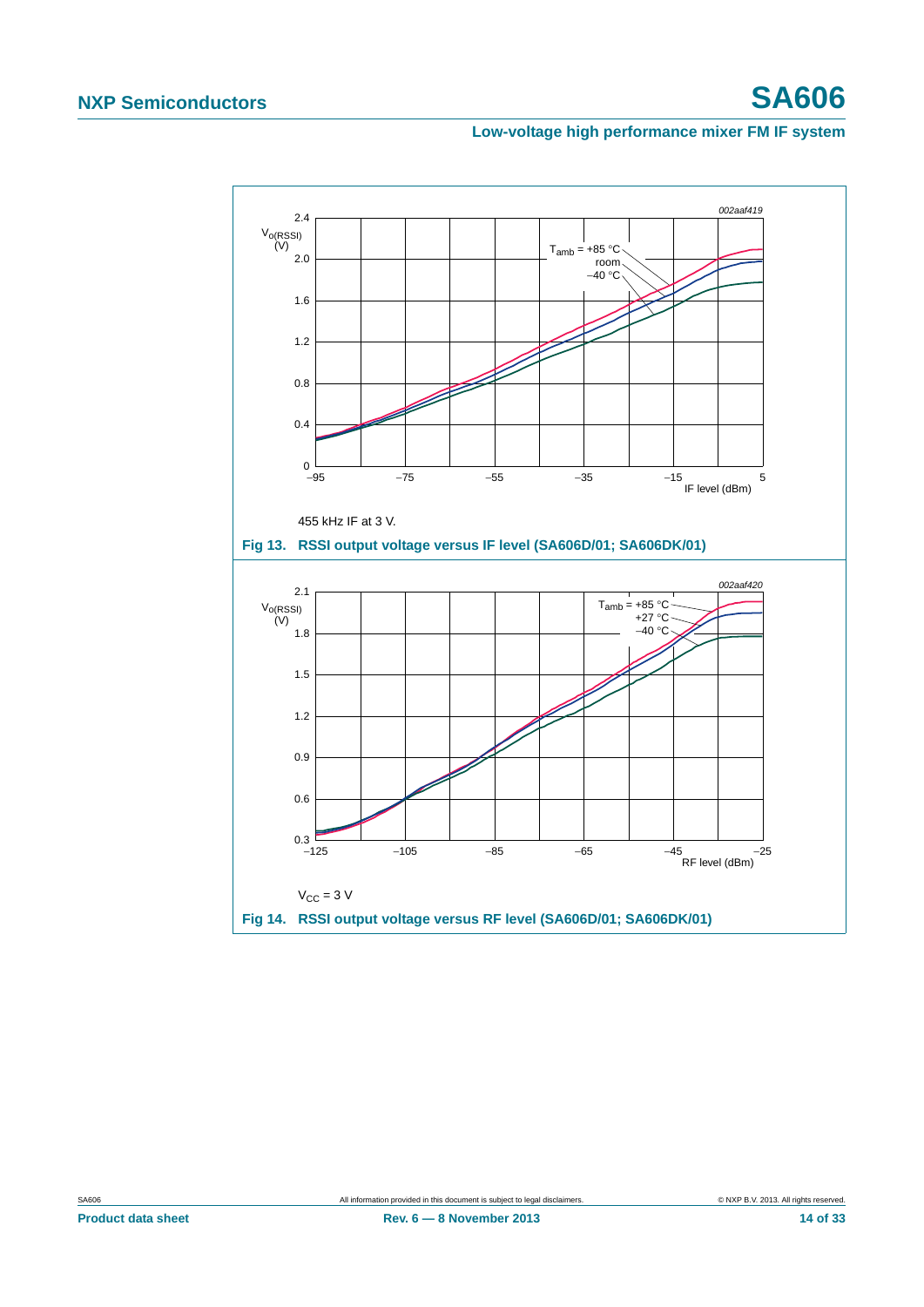<span id="page-13-1"></span><span id="page-13-0"></span>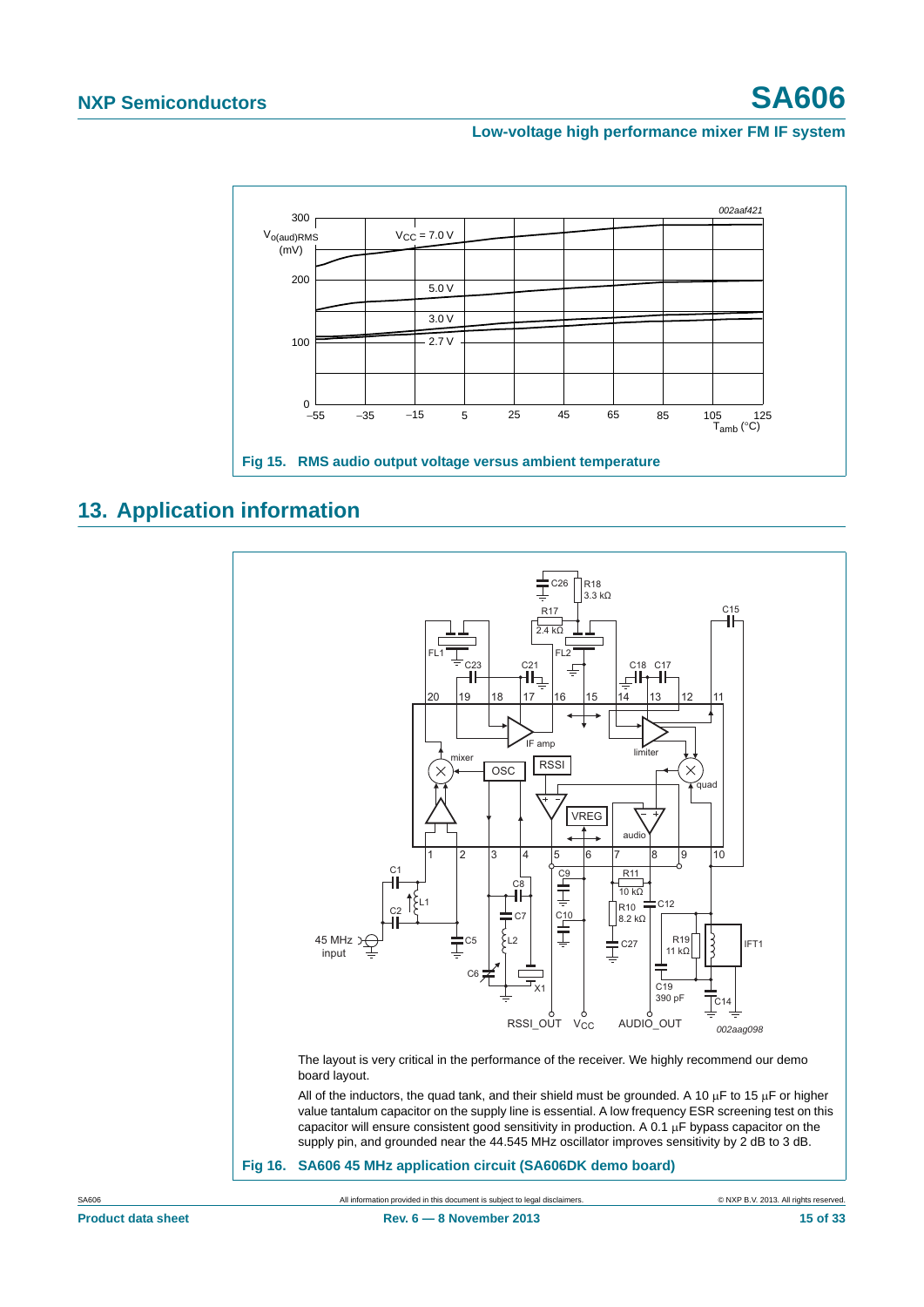

# <span id="page-14-0"></span>**13. Application information**

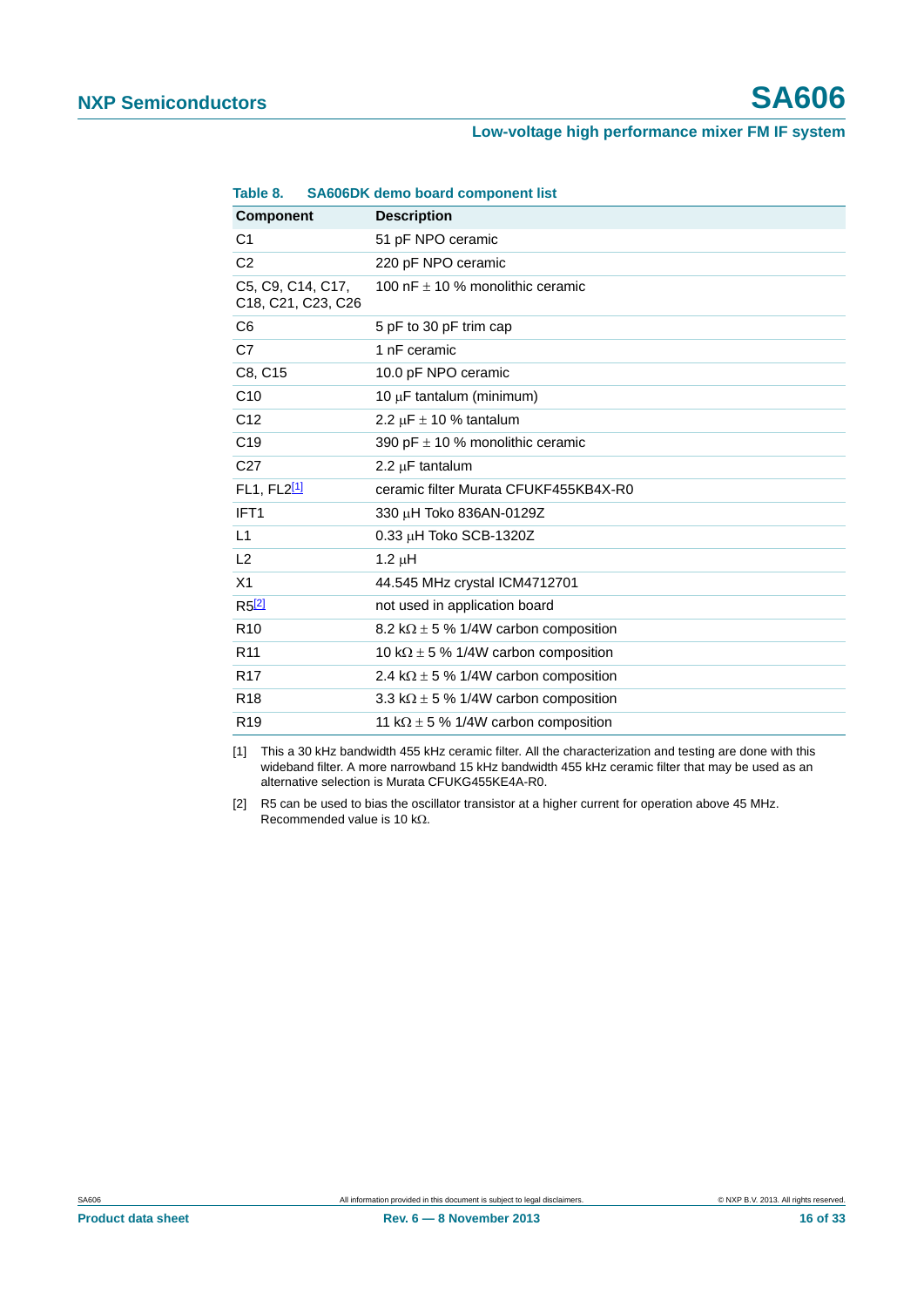| <b>Component</b>                        | <b>Description</b>                           |
|-----------------------------------------|----------------------------------------------|
| C <sub>1</sub>                          | 51 pF NPO ceramic                            |
| C <sub>2</sub>                          | 220 pF NPO ceramic                           |
| C5, C9, C14, C17,<br>C18, C21, C23, C26 | 100 nF $\pm$ 10 % monolithic ceramic         |
| C <sub>6</sub>                          | 5 pF to 30 pF trim cap                       |
| C7                                      | 1 nF ceramic                                 |
| C8, C15                                 | 10.0 pF NPO ceramic                          |
| C10                                     | 10 μF tantalum (minimum)                     |
| C <sub>12</sub>                         | 2.2 $\mu$ F $\pm$ 10 % tantalum              |
| C <sub>19</sub>                         | 390 pF $\pm$ 10 % monolithic ceramic         |
| C <sub>27</sub>                         | 2.2 $\mu$ F tantalum                         |
| FL1, FL2[1]                             | ceramic filter Murata CFUKF455KB4X-R0        |
| IFT <sub>1</sub>                        | 330 µH Toko 836AN-0129Z                      |
| L1                                      | $0.33 \mu$ H Toko SCB-1320Z                  |
| L2                                      | $1.2 \mu H$                                  |
| X <sub>1</sub>                          | 44.545 MHz crystal ICM4712701                |
| $R5^{[2]}$                              | not used in application board                |
| R <sub>10</sub>                         | 8.2 k $\Omega$ ± 5 % 1/4W carbon composition |
| R <sub>11</sub>                         | 10 k $\Omega$ ± 5 % 1/4W carbon composition  |
| R <sub>17</sub>                         | 2.4 k $\Omega$ ± 5 % 1/4W carbon composition |
| R <sub>18</sub>                         | 3.3 k $\Omega$ ± 5 % 1/4W carbon composition |
| R <sub>19</sub>                         | 11 k $\Omega$ ± 5 % 1/4W carbon composition  |

#### **Table 8. SA606DK demo board component list**

<span id="page-15-1"></span>[1] This a 30 kHz bandwidth 455 kHz ceramic filter. All the characterization and testing are done with this wideband filter. A more narrowband 15 kHz bandwidth 455 kHz ceramic filter that may be used as an alternative selection is Murata CFUKG455KE4A-R0.

<span id="page-15-0"></span>[2] R5 can be used to bias the oscillator transistor at a higher current for operation above 45 MHz. Recommended value is 10 k $\Omega$ .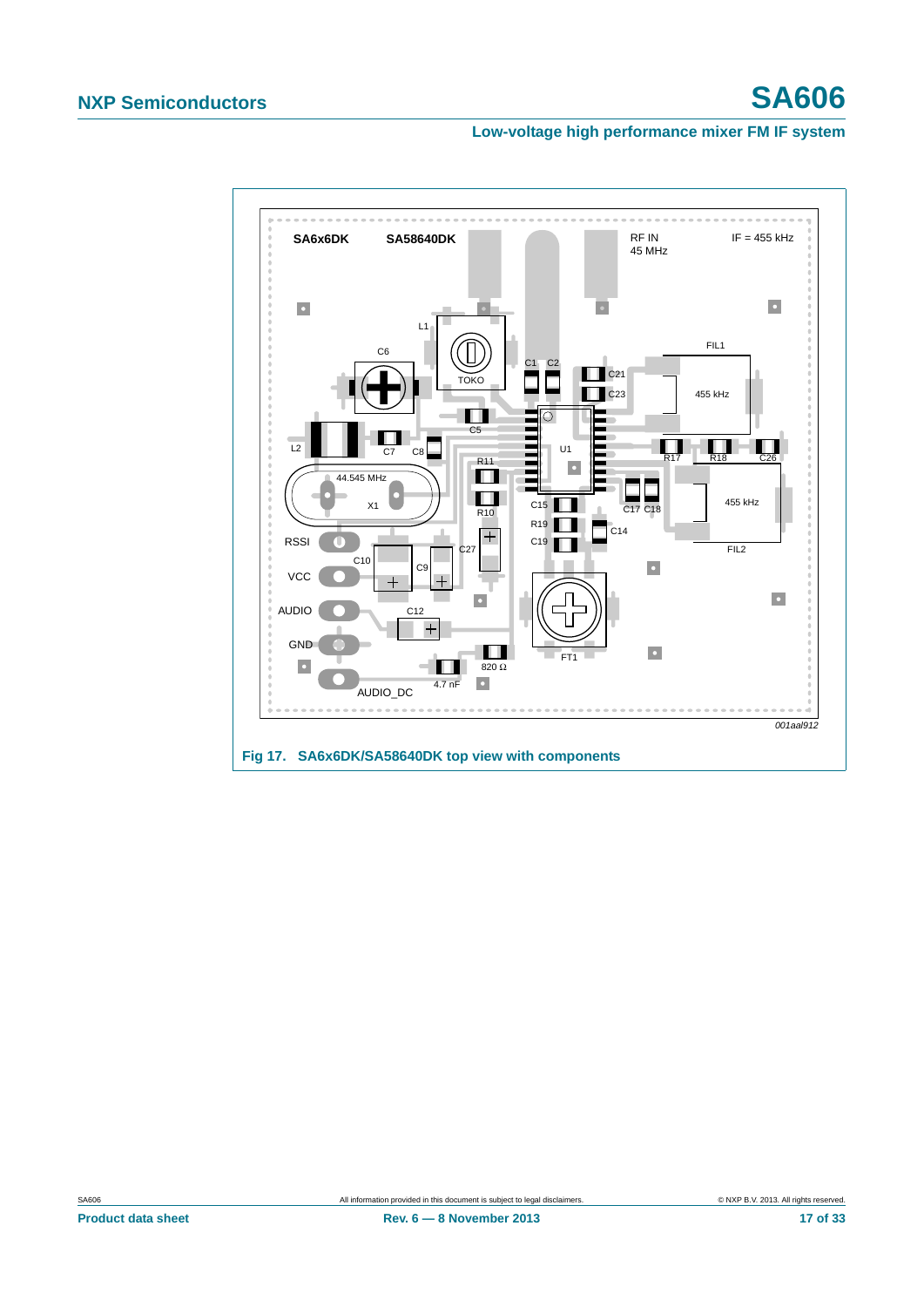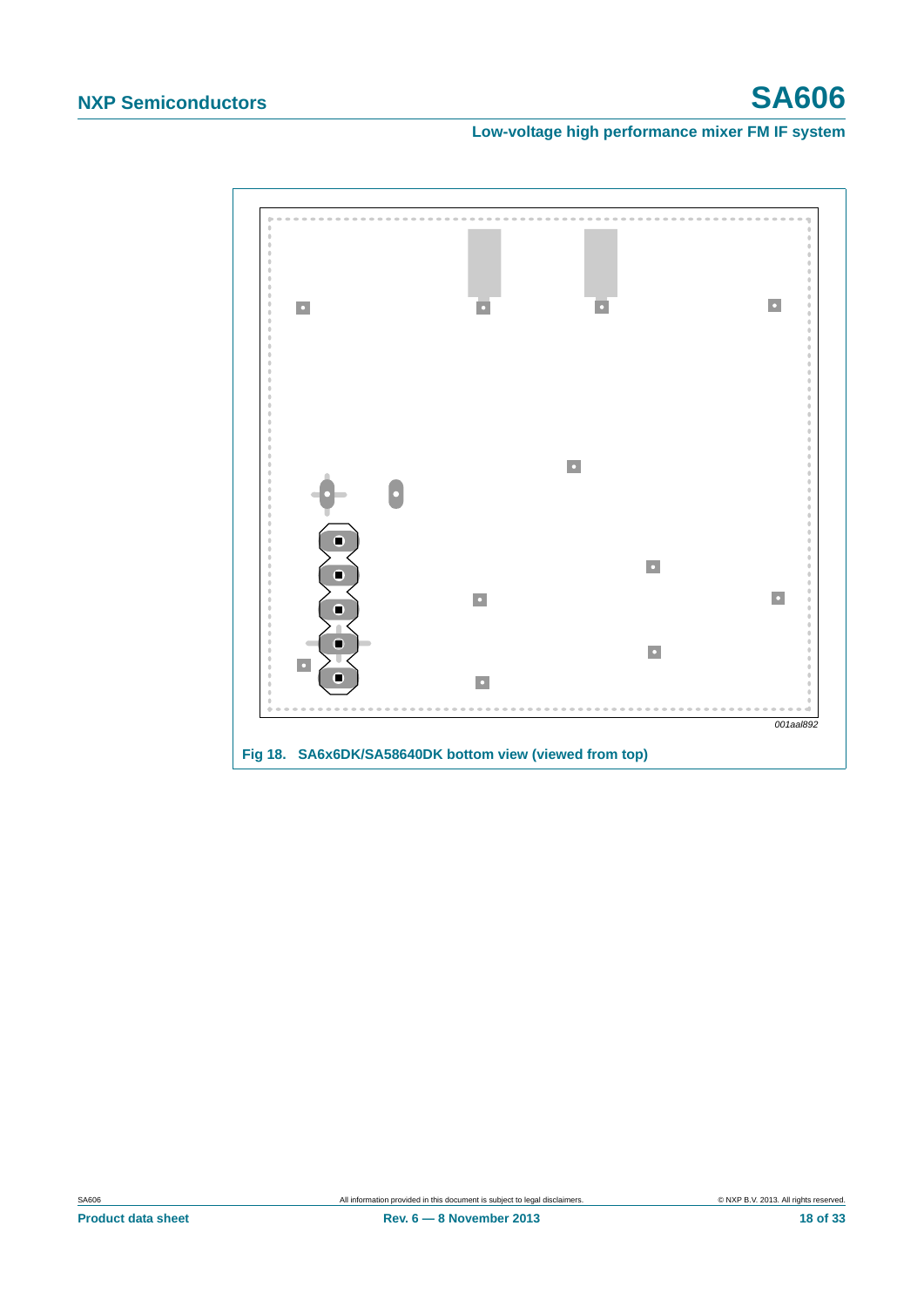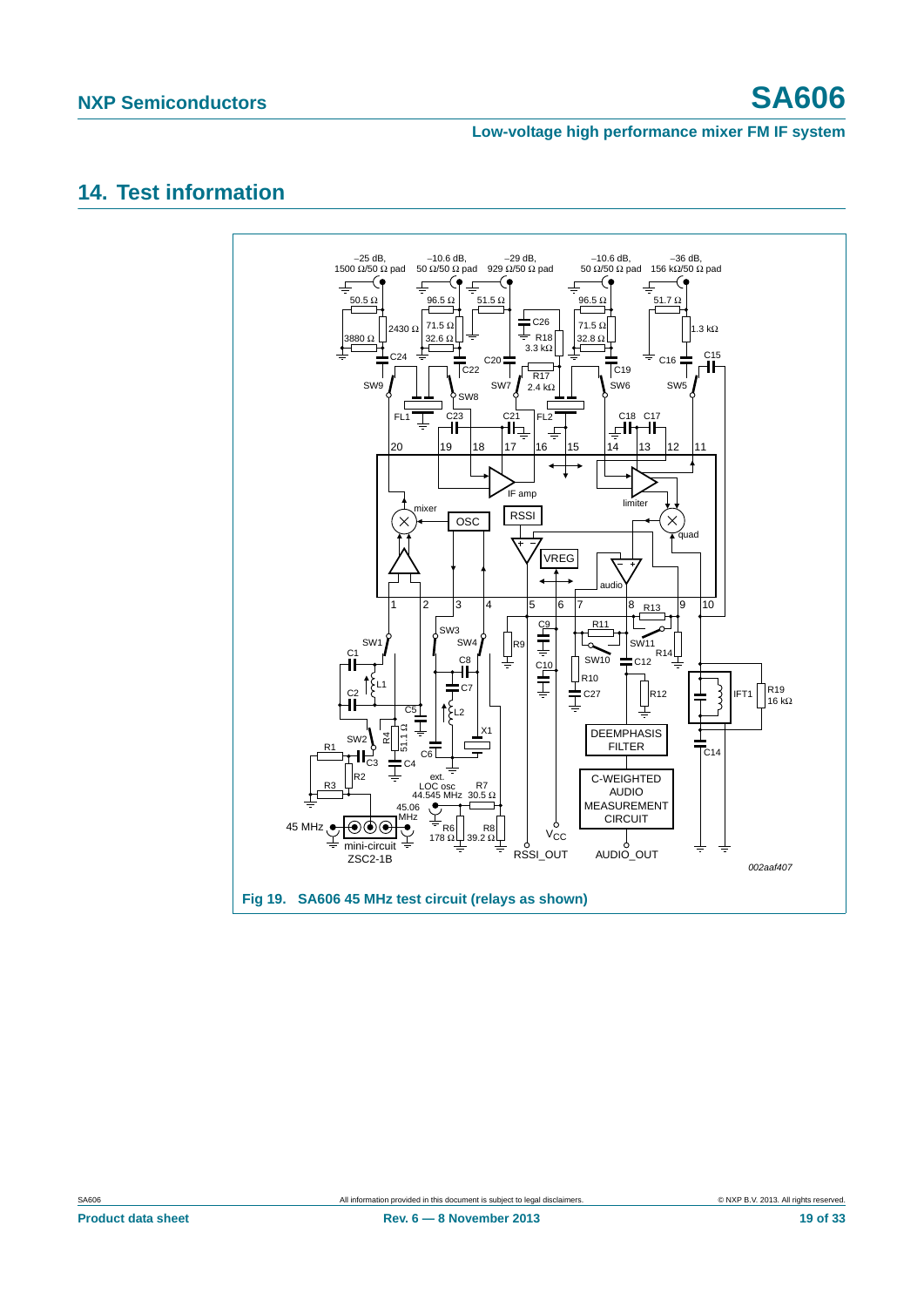# <span id="page-18-1"></span>**14. Test information**

<span id="page-18-0"></span>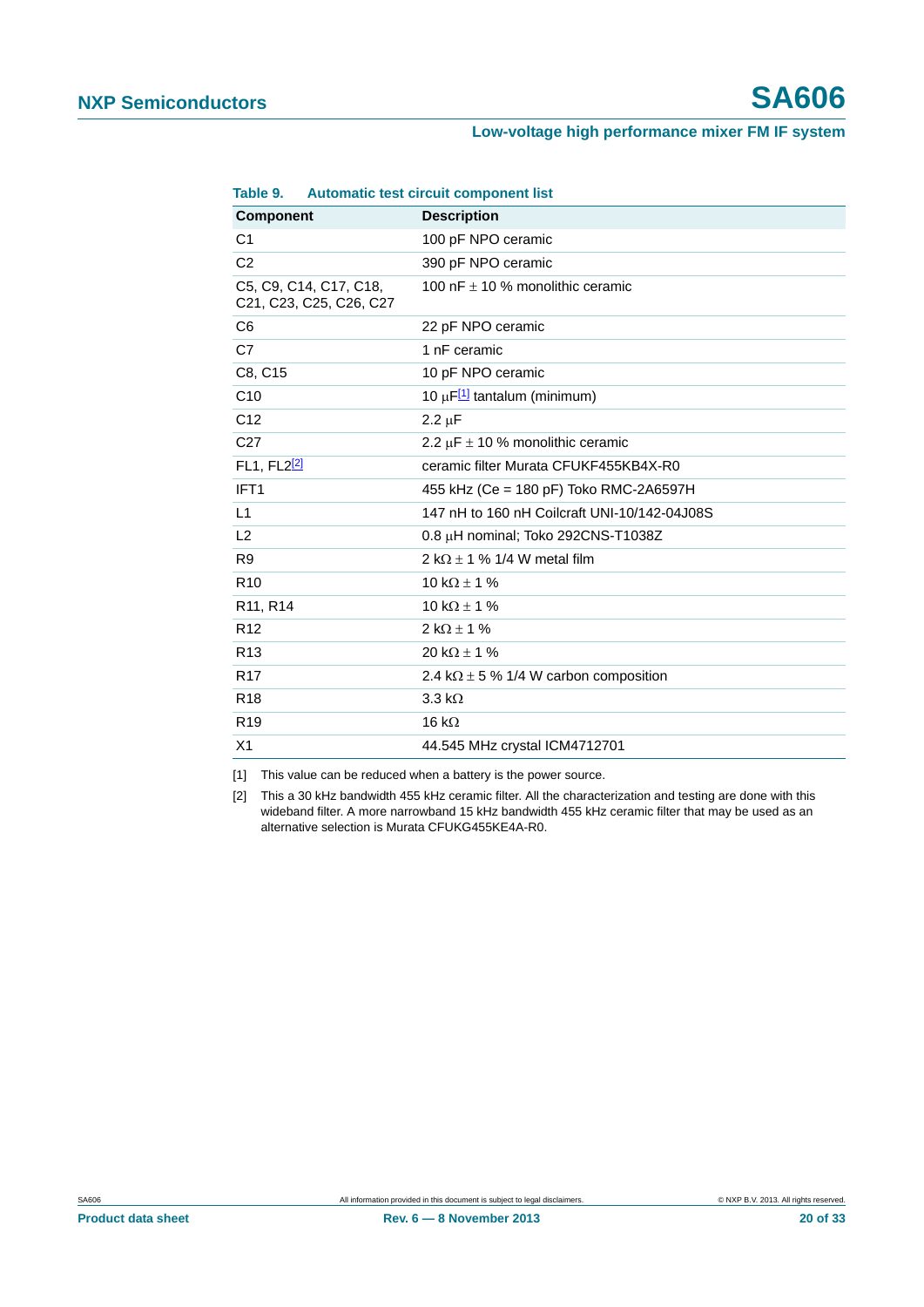| Table 9.                |                                                                                                                   | Automatic test circuit component list         |
|-------------------------|-------------------------------------------------------------------------------------------------------------------|-----------------------------------------------|
| <b>Component</b>        |                                                                                                                   | <b>Description</b>                            |
| C <sub>1</sub>          |                                                                                                                   | 100 pF NPO ceramic                            |
| C <sub>2</sub>          |                                                                                                                   | 390 pF NPO ceramic                            |
|                         | C5, C9, C14, C17, C18,<br>C <sub>21</sub> , C <sub>23</sub> , C <sub>25</sub> , C <sub>26</sub> , C <sub>27</sub> | 100 nF $\pm$ 10 % monolithic ceramic          |
| C <sub>6</sub>          |                                                                                                                   | 22 pF NPO ceramic                             |
| C7                      |                                                                                                                   | 1 nF ceramic                                  |
| C8, C15                 |                                                                                                                   | 10 pF NPO ceramic                             |
| C10                     |                                                                                                                   | 10 $\mu$ F <sup>[1]</sup> tantalum (minimum)  |
| C <sub>12</sub>         |                                                                                                                   | $2.2 \mu F$                                   |
| C <sub>27</sub>         |                                                                                                                   | 2.2 $\mu$ F $\pm$ 10 % monolithic ceramic     |
| FL1, FL2 <sup>[2]</sup> |                                                                                                                   | ceramic filter Murata CFUKF455KB4X-R0         |
| IFT <sub>1</sub>        |                                                                                                                   | 455 kHz (Ce = 180 pF) Toko RMC-2A6597H        |
| L1                      |                                                                                                                   | 147 nH to 160 nH Coilcraft UNI-10/142-04J08S  |
| L2                      |                                                                                                                   | 0.8 µH nominal; Toko 292CNS-T1038Z            |
| R <sub>9</sub>          |                                                                                                                   | 2 k $\Omega$ ± 1 % 1/4 W metal film           |
| R <sub>10</sub>         |                                                                                                                   | 10 k $\Omega$ ± 1 %                           |
| R11, R14                |                                                                                                                   | 10 k $\Omega$ ± 1 %                           |
| R <sub>12</sub>         |                                                                                                                   | $2 k\Omega \pm 1 \%$                          |
| R <sub>13</sub>         |                                                                                                                   | 20 k $\Omega$ ± 1 %                           |
| R <sub>17</sub>         |                                                                                                                   | 2.4 k $\Omega$ ± 5 % 1/4 W carbon composition |
| R <sub>18</sub>         |                                                                                                                   | $3.3 \text{ k}\Omega$                         |
| R <sub>19</sub>         |                                                                                                                   | 16 k $\Omega$                                 |
| X <sub>1</sub>          |                                                                                                                   | 44.545 MHz crystal ICM4712701                 |

#### **Table 9. Automatic test circuit component list**

<span id="page-19-0"></span>[1] This value can be reduced when a battery is the power source.

<span id="page-19-1"></span>[2] This a 30 kHz bandwidth 455 kHz ceramic filter. All the characterization and testing are done with this wideband filter. A more narrowband 15 kHz bandwidth 455 kHz ceramic filter that may be used as an alternative selection is Murata CFUKG455KE4A-R0.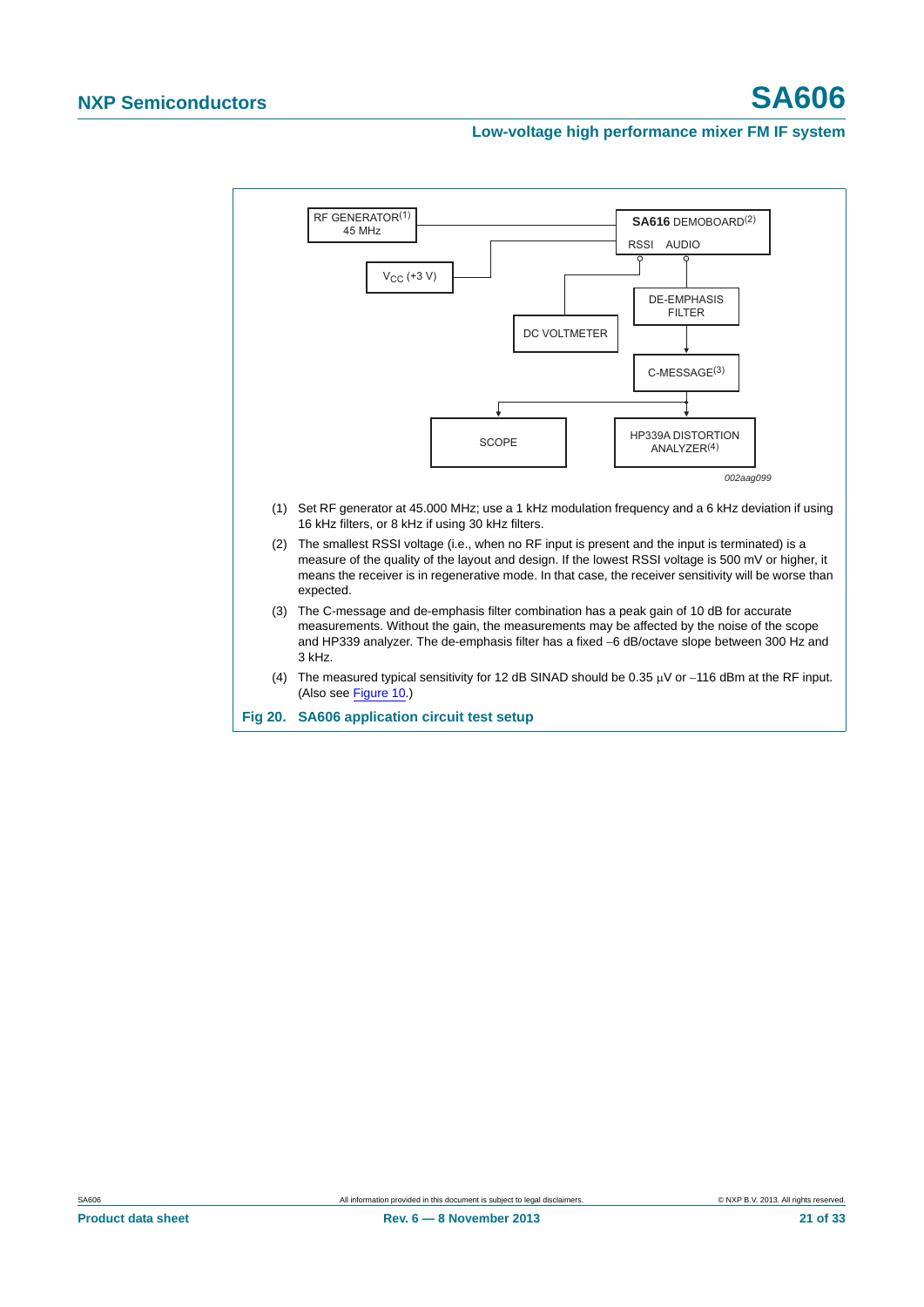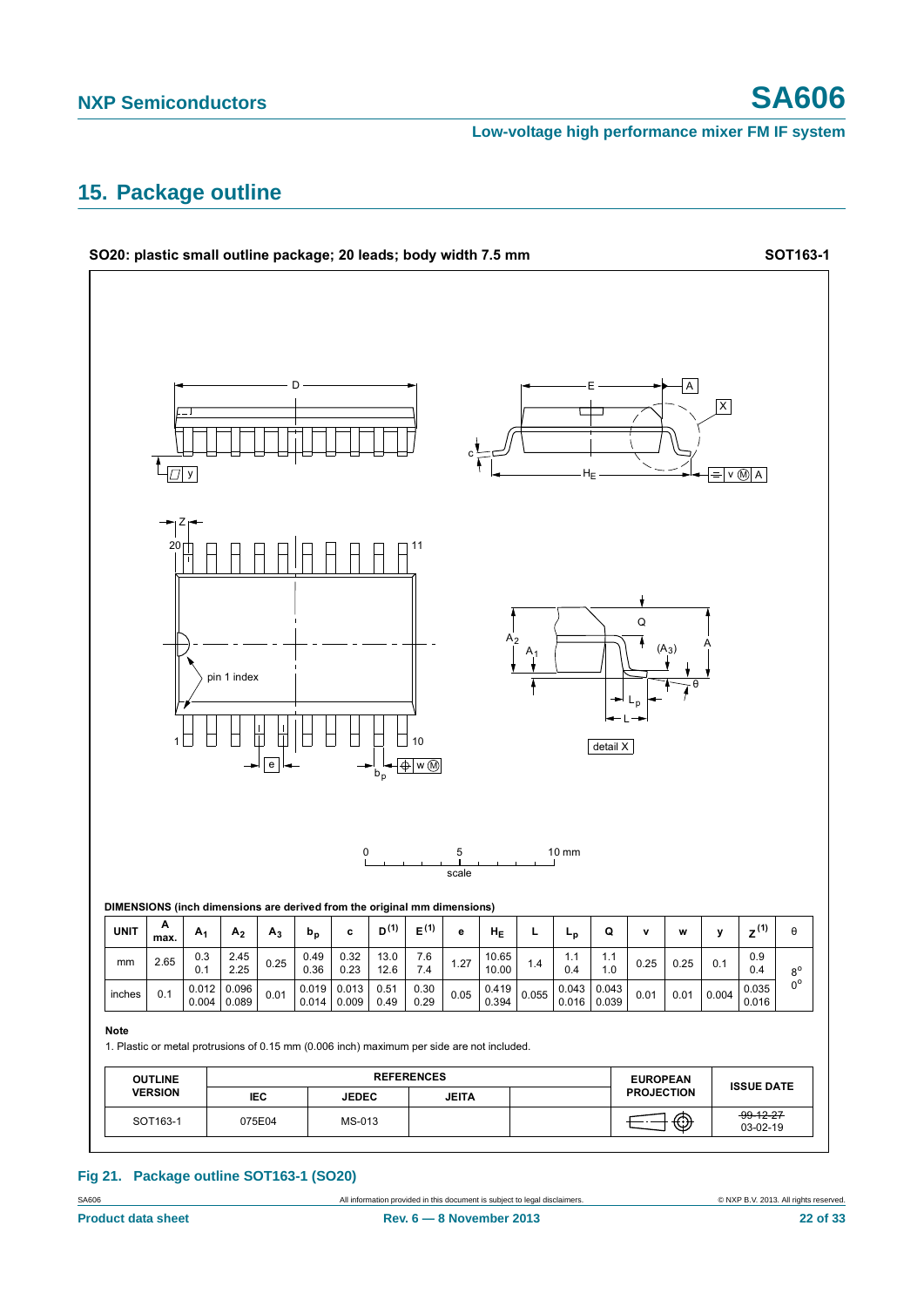## <span id="page-21-0"></span>**15. Package outline**



#### **Fig 21. Package outline SOT163-1 (SO20)**

SA606 **All information provided in this document is subject to legal disclaimers.** © NXP B.V. 2013. All rights reserved.

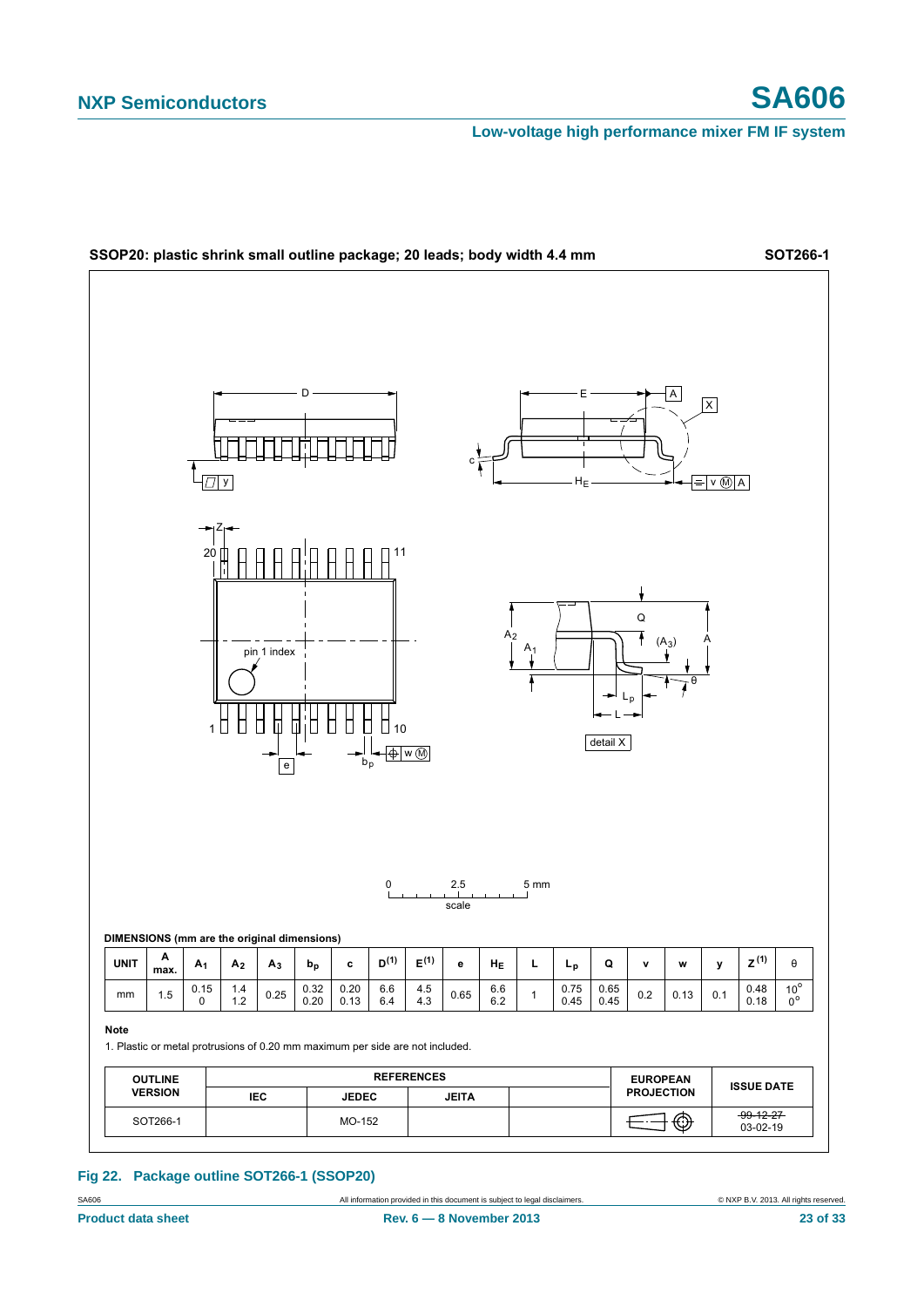

#### **Fig 22. Package outline SOT266-1 (SSOP20)**

SA606 **All information provided in this document is subject to legal disclaimers.** © NXP B.V. 2013. All rights reserved.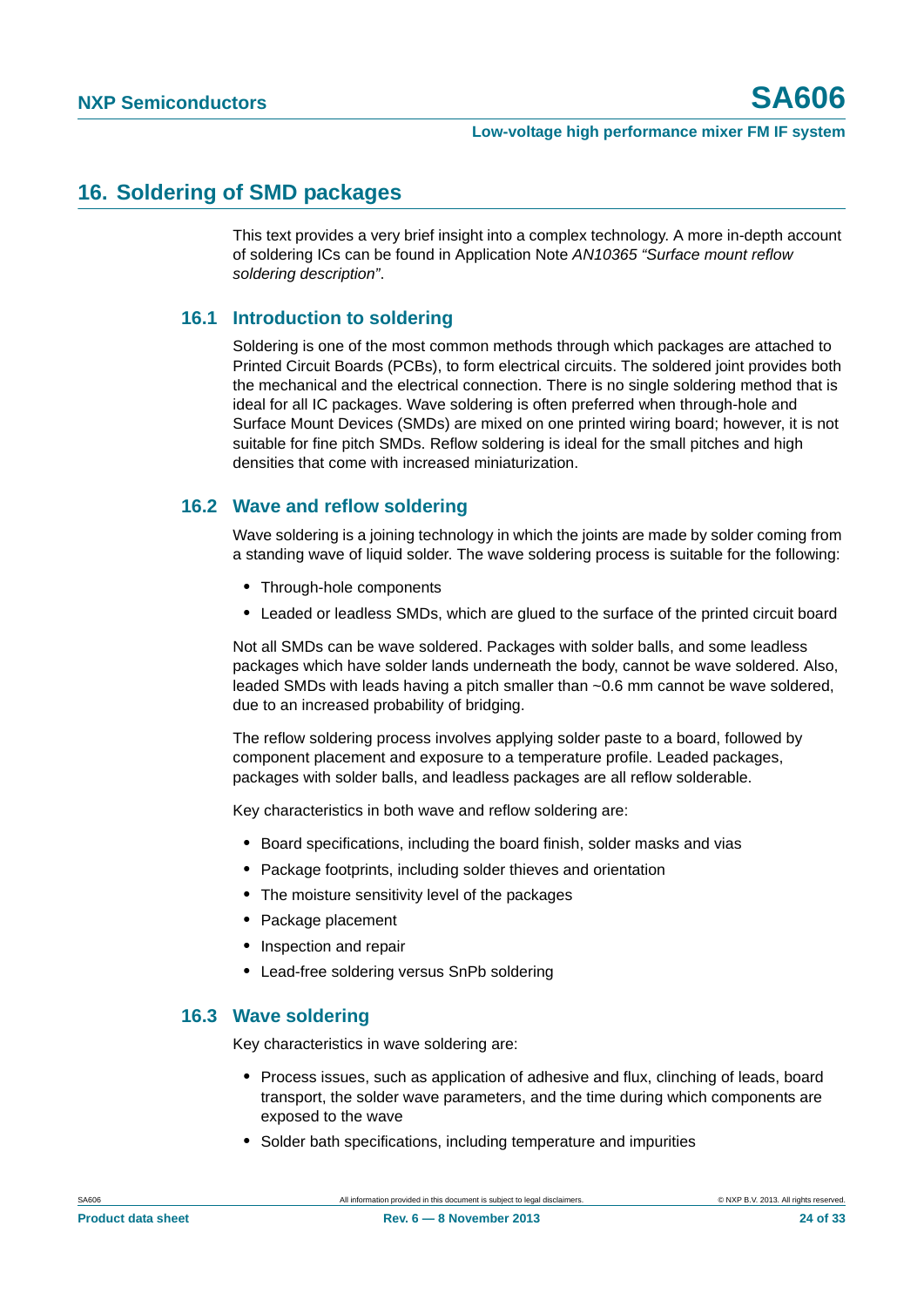## <span id="page-23-0"></span>**16. Soldering of SMD packages**

This text provides a very brief insight into a complex technology. A more in-depth account of soldering ICs can be found in Application Note *AN10365 "Surface mount reflow soldering description"*.

### <span id="page-23-1"></span>**16.1 Introduction to soldering**

Soldering is one of the most common methods through which packages are attached to Printed Circuit Boards (PCBs), to form electrical circuits. The soldered joint provides both the mechanical and the electrical connection. There is no single soldering method that is ideal for all IC packages. Wave soldering is often preferred when through-hole and Surface Mount Devices (SMDs) are mixed on one printed wiring board; however, it is not suitable for fine pitch SMDs. Reflow soldering is ideal for the small pitches and high densities that come with increased miniaturization.

### <span id="page-23-2"></span>**16.2 Wave and reflow soldering**

Wave soldering is a joining technology in which the joints are made by solder coming from a standing wave of liquid solder. The wave soldering process is suitable for the following:

- **•** Through-hole components
- **•** Leaded or leadless SMDs, which are glued to the surface of the printed circuit board

Not all SMDs can be wave soldered. Packages with solder balls, and some leadless packages which have solder lands underneath the body, cannot be wave soldered. Also, leaded SMDs with leads having a pitch smaller than ~0.6 mm cannot be wave soldered, due to an increased probability of bridging.

The reflow soldering process involves applying solder paste to a board, followed by component placement and exposure to a temperature profile. Leaded packages, packages with solder balls, and leadless packages are all reflow solderable.

Key characteristics in both wave and reflow soldering are:

- **•** Board specifications, including the board finish, solder masks and vias
- **•** Package footprints, including solder thieves and orientation
- **•** The moisture sensitivity level of the packages
- **•** Package placement
- **•** Inspection and repair
- **•** Lead-free soldering versus SnPb soldering

### <span id="page-23-3"></span>**16.3 Wave soldering**

Key characteristics in wave soldering are:

- **•** Process issues, such as application of adhesive and flux, clinching of leads, board transport, the solder wave parameters, and the time during which components are exposed to the wave
- **•** Solder bath specifications, including temperature and impurities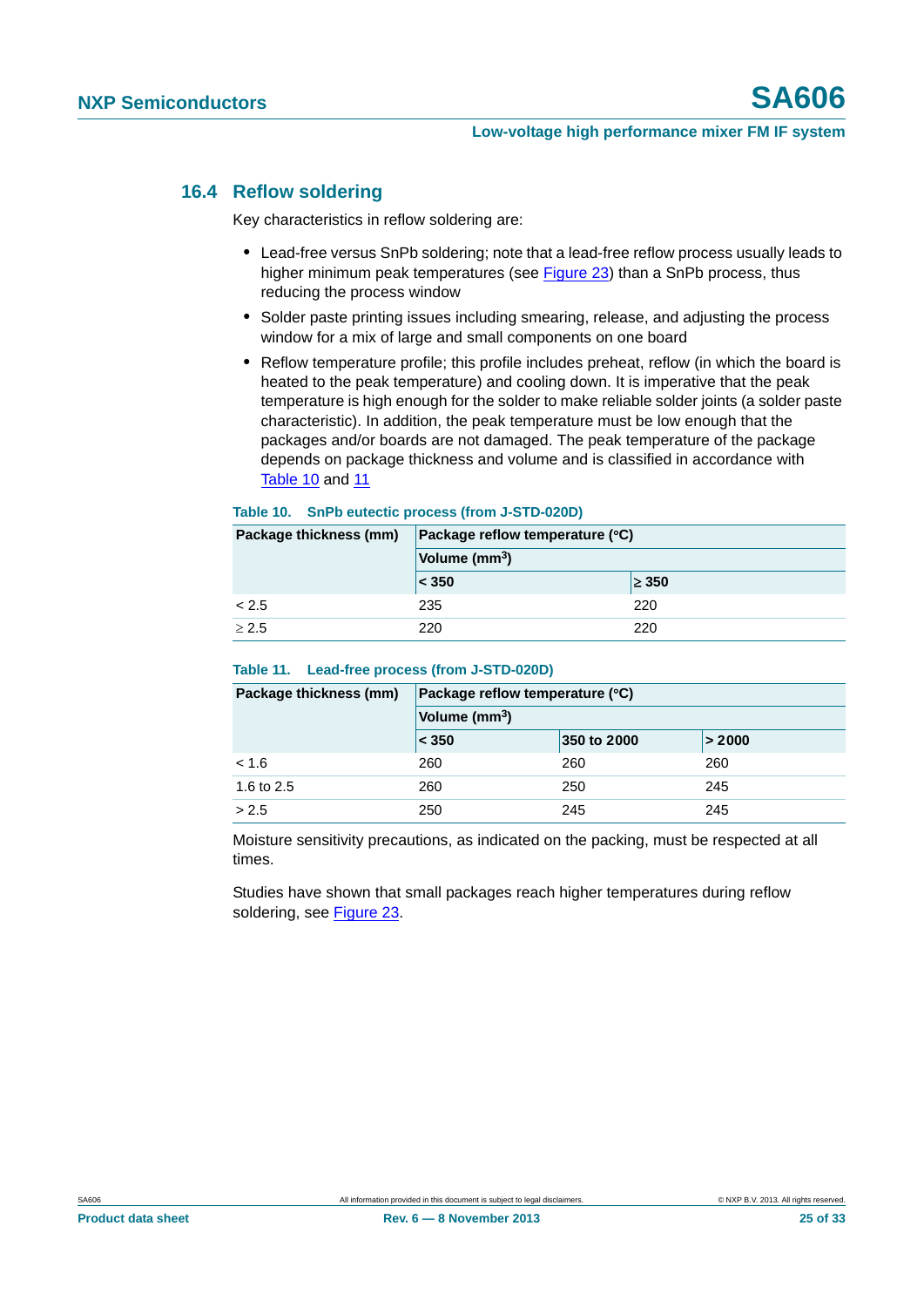### <span id="page-24-2"></span>**16.4 Reflow soldering**

Key characteristics in reflow soldering are:

- **•** Lead-free versus SnPb soldering; note that a lead-free reflow process usually leads to higher minimum peak temperatures (see [Figure 23\)](#page-25-0) than a SnPb process, thus reducing the process window
- **•** Solder paste printing issues including smearing, release, and adjusting the process window for a mix of large and small components on one board
- **•** Reflow temperature profile; this profile includes preheat, reflow (in which the board is heated to the peak temperature) and cooling down. It is imperative that the peak temperature is high enough for the solder to make reliable solder joints (a solder paste characteristic). In addition, the peak temperature must be low enough that the packages and/or boards are not damaged. The peak temperature of the package depends on package thickness and volume and is classified in accordance with [Table 10](#page-24-0) and [11](#page-24-1)

#### <span id="page-24-0"></span>**Table 10. SnPb eutectic process (from J-STD-020D)**

| Package thickness (mm) | Package reflow temperature (°C) |            |  |  |
|------------------------|---------------------------------|------------|--|--|
|                        | Volume (mm <sup>3</sup> )       |            |  |  |
|                        | < 350                           | $\geq 350$ |  |  |
| < 2.5                  | 235                             | 220        |  |  |
| > 2.5                  | 220                             | 220        |  |  |

#### <span id="page-24-1"></span>**Table 11. Lead-free process (from J-STD-020D)**

| Package thickness (mm) | Package reflow temperature (°C) |             |        |  |  |
|------------------------|---------------------------------|-------------|--------|--|--|
|                        | Volume (mm <sup>3</sup> )       |             |        |  |  |
|                        | $\leq 350$                      | 350 to 2000 | > 2000 |  |  |
| < 1.6                  | 260                             | 260         | 260    |  |  |
| 1.6 to 2.5             | 260                             | 250         | 245    |  |  |
| > 2.5                  | 250                             | 245         | 245    |  |  |

Moisture sensitivity precautions, as indicated on the packing, must be respected at all times.

Studies have shown that small packages reach higher temperatures during reflow soldering, see [Figure 23](#page-25-0).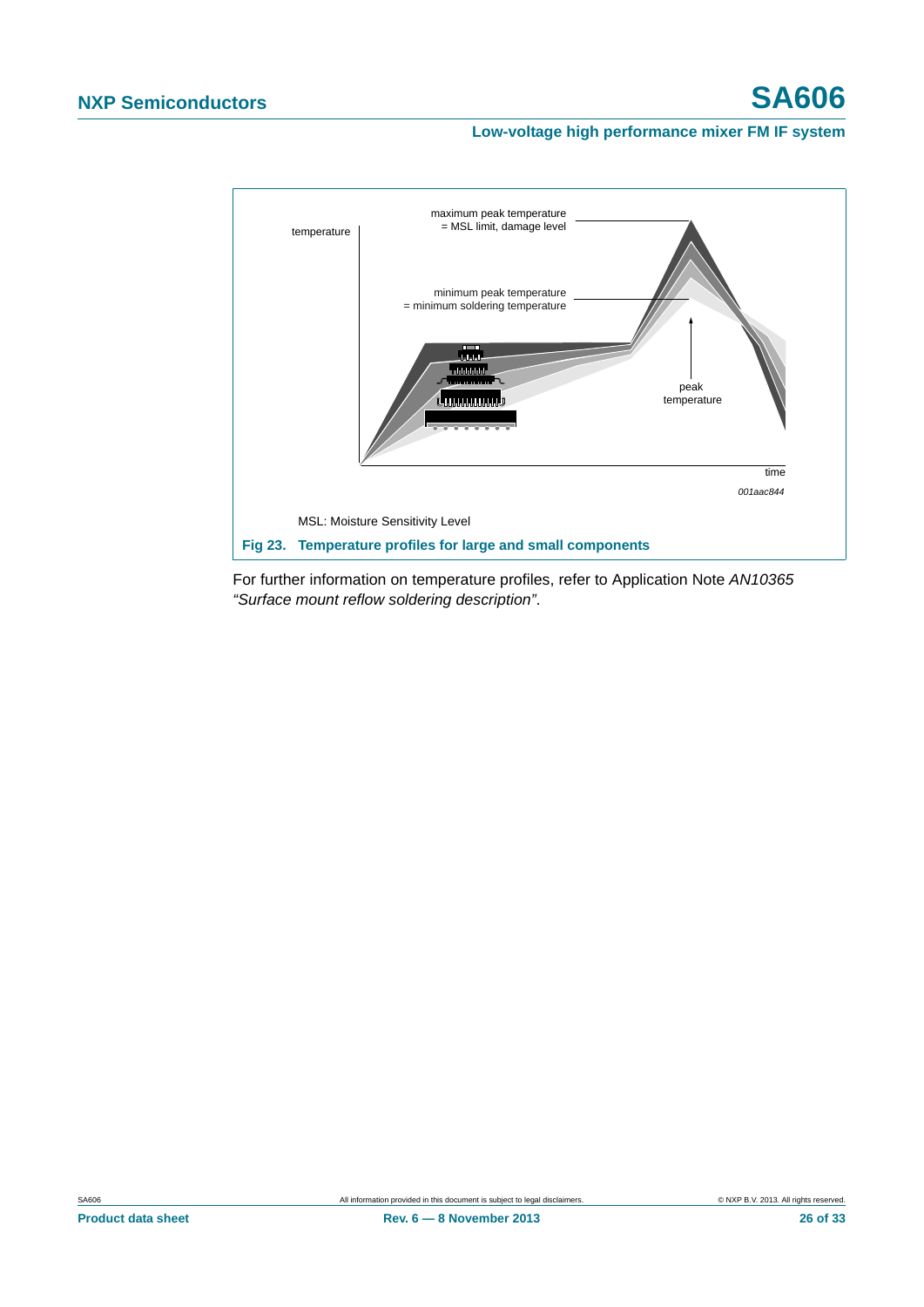

<span id="page-25-0"></span>For further information on temperature profiles, refer to Application Note *AN10365 "Surface mount reflow soldering description"*.

**Product data sheet Rev. 6 — 8 November 2013 26 of 33**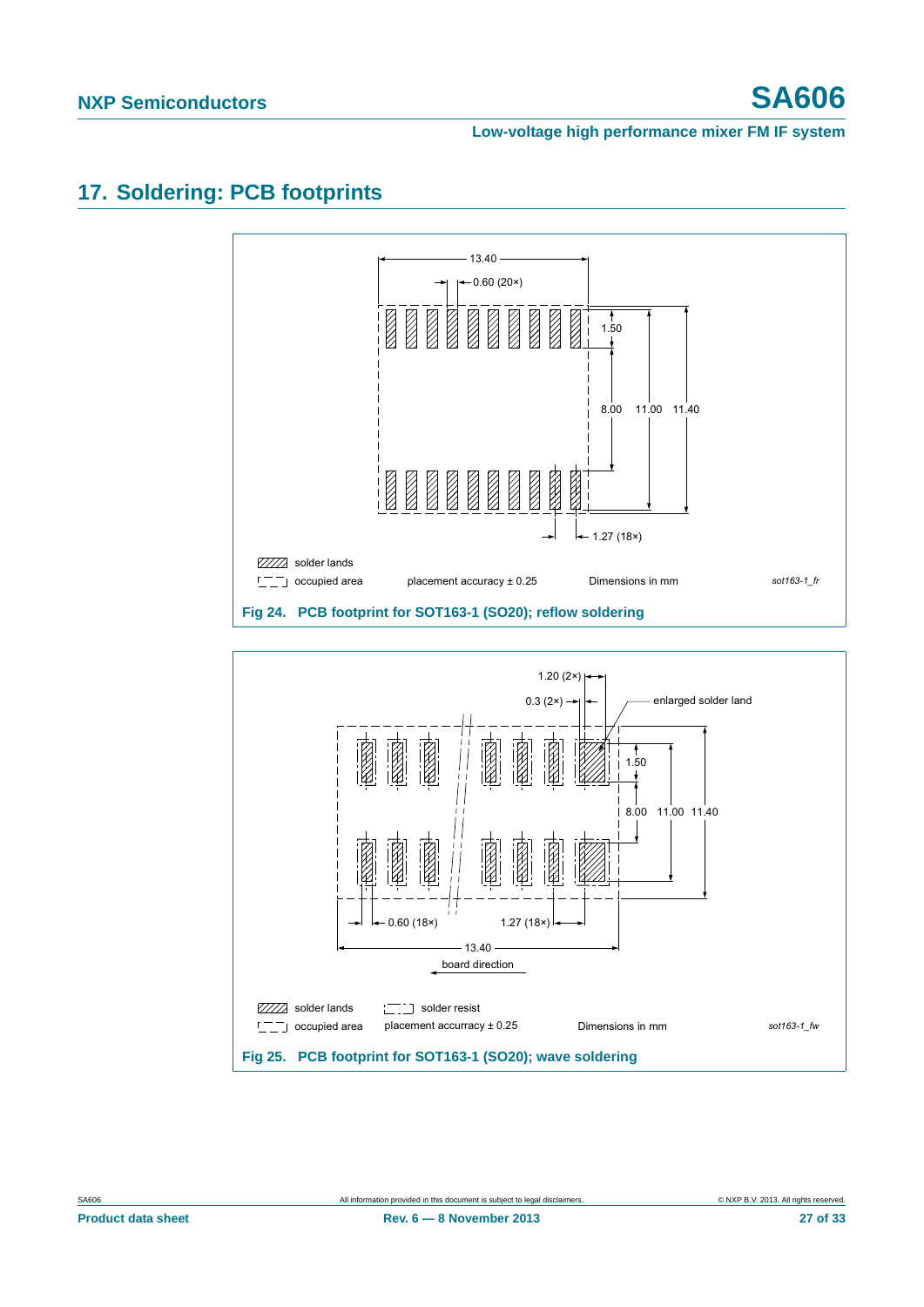# <span id="page-26-0"></span>**17. Soldering: PCB footprints**

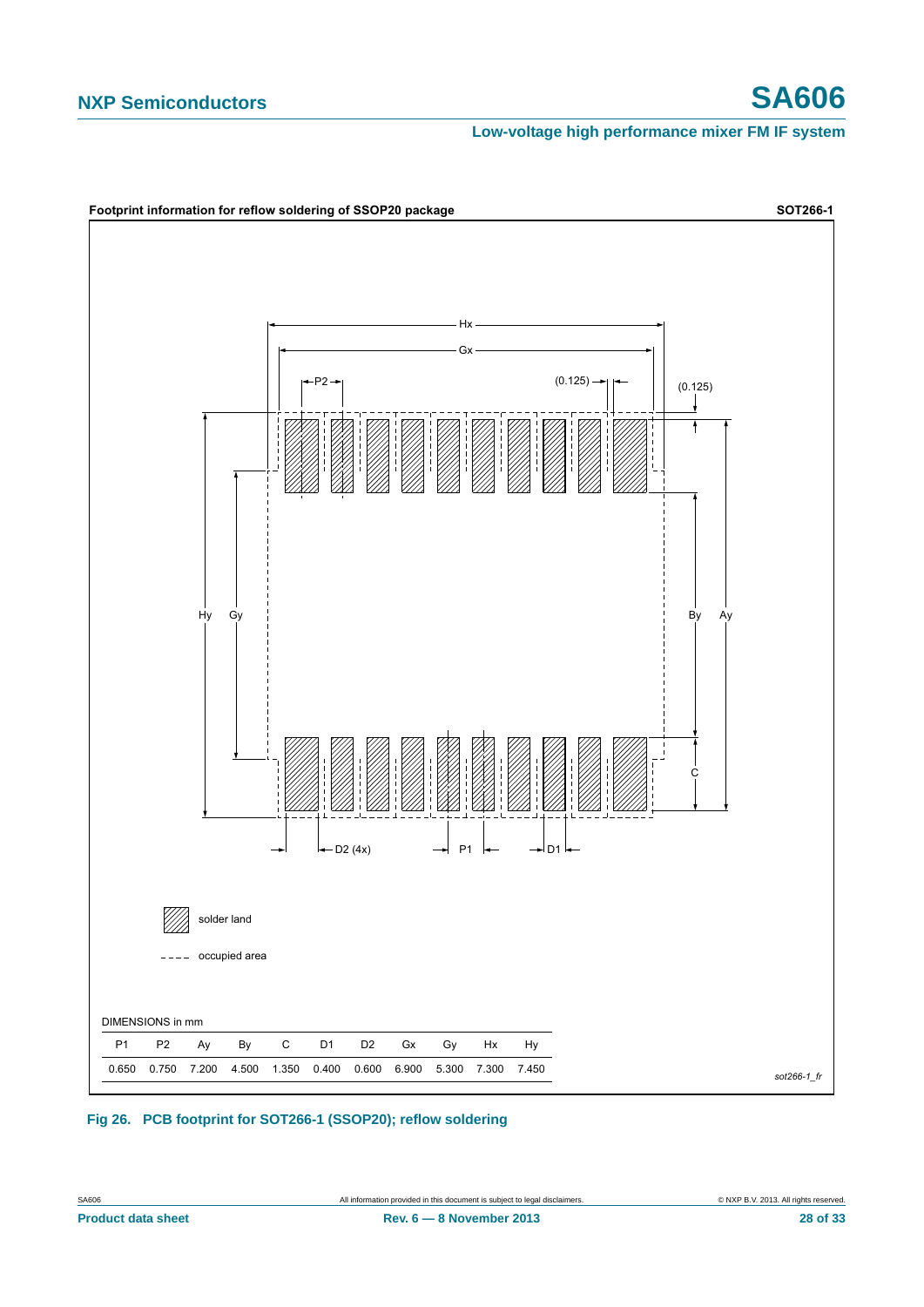# **NXP Semiconductors SA606**

**Low-voltage high performance mixer FM IF system**



#### **Fig 26. PCB footprint for SOT266-1 (SSOP20); reflow soldering**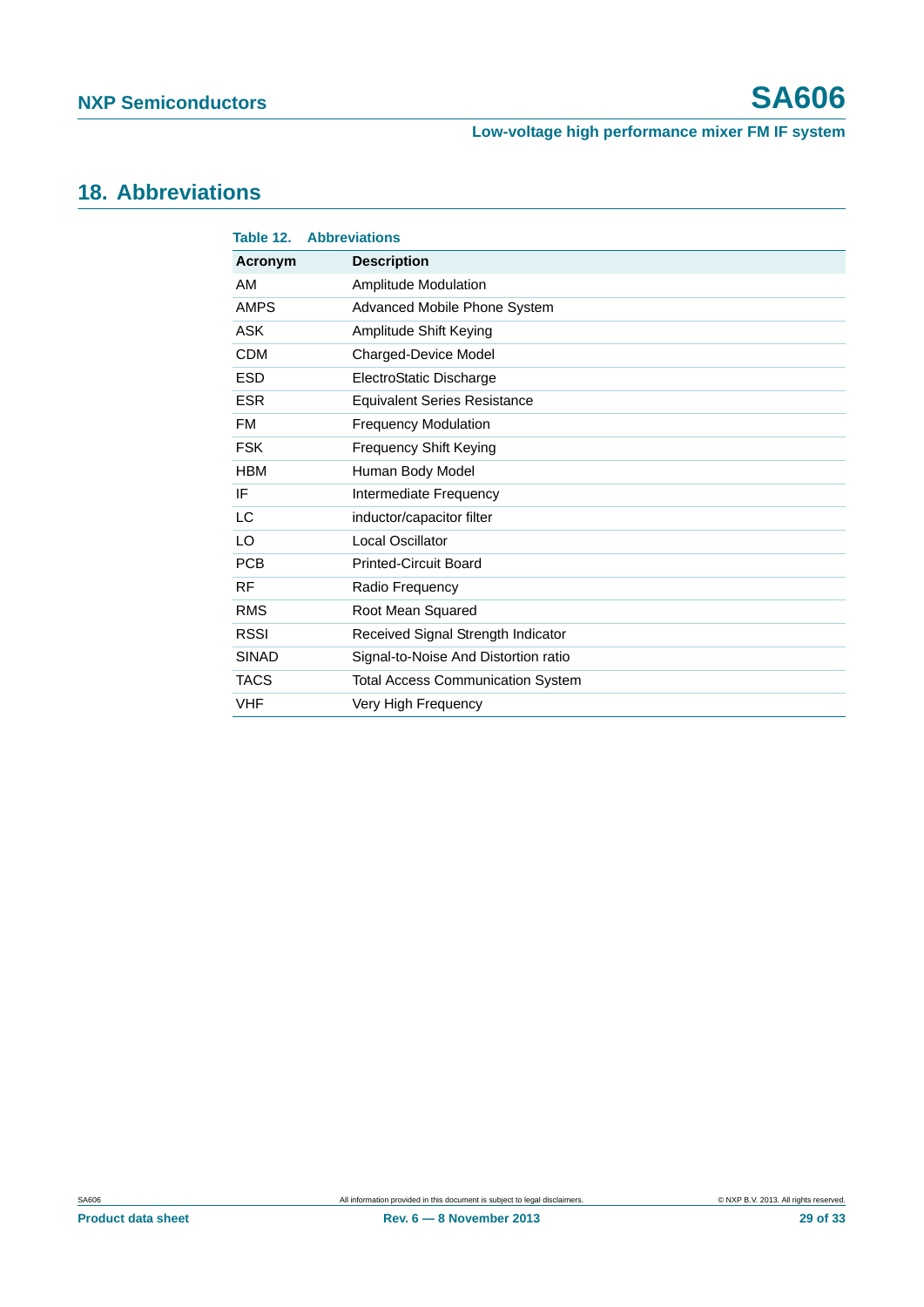# <span id="page-28-0"></span>**18. Abbreviations**

| Table 12.    | <b>Abbreviations</b>                     |  |  |  |
|--------------|------------------------------------------|--|--|--|
| Acronym      | <b>Description</b>                       |  |  |  |
| AM           | <b>Amplitude Modulation</b>              |  |  |  |
| <b>AMPS</b>  | Advanced Mobile Phone System             |  |  |  |
| <b>ASK</b>   | Amplitude Shift Keying                   |  |  |  |
| <b>CDM</b>   | Charged-Device Model                     |  |  |  |
| <b>ESD</b>   | ElectroStatic Discharge                  |  |  |  |
| <b>ESR</b>   | <b>Equivalent Series Resistance</b>      |  |  |  |
| <b>FM</b>    | <b>Frequency Modulation</b>              |  |  |  |
| <b>FSK</b>   | <b>Frequency Shift Keying</b>            |  |  |  |
| <b>HBM</b>   | Human Body Model                         |  |  |  |
| IF           | Intermediate Frequency                   |  |  |  |
| LC           | inductor/capacitor filter                |  |  |  |
| LO           | Local Oscillator                         |  |  |  |
| <b>PCB</b>   | <b>Printed-Circuit Board</b>             |  |  |  |
| <b>RF</b>    | Radio Frequency                          |  |  |  |
| <b>RMS</b>   | Root Mean Squared                        |  |  |  |
| <b>RSSI</b>  | Received Signal Strength Indicator       |  |  |  |
| <b>SINAD</b> | Signal-to-Noise And Distortion ratio     |  |  |  |
| <b>TACS</b>  | <b>Total Access Communication System</b> |  |  |  |
| <b>VHF</b>   | Very High Frequency                      |  |  |  |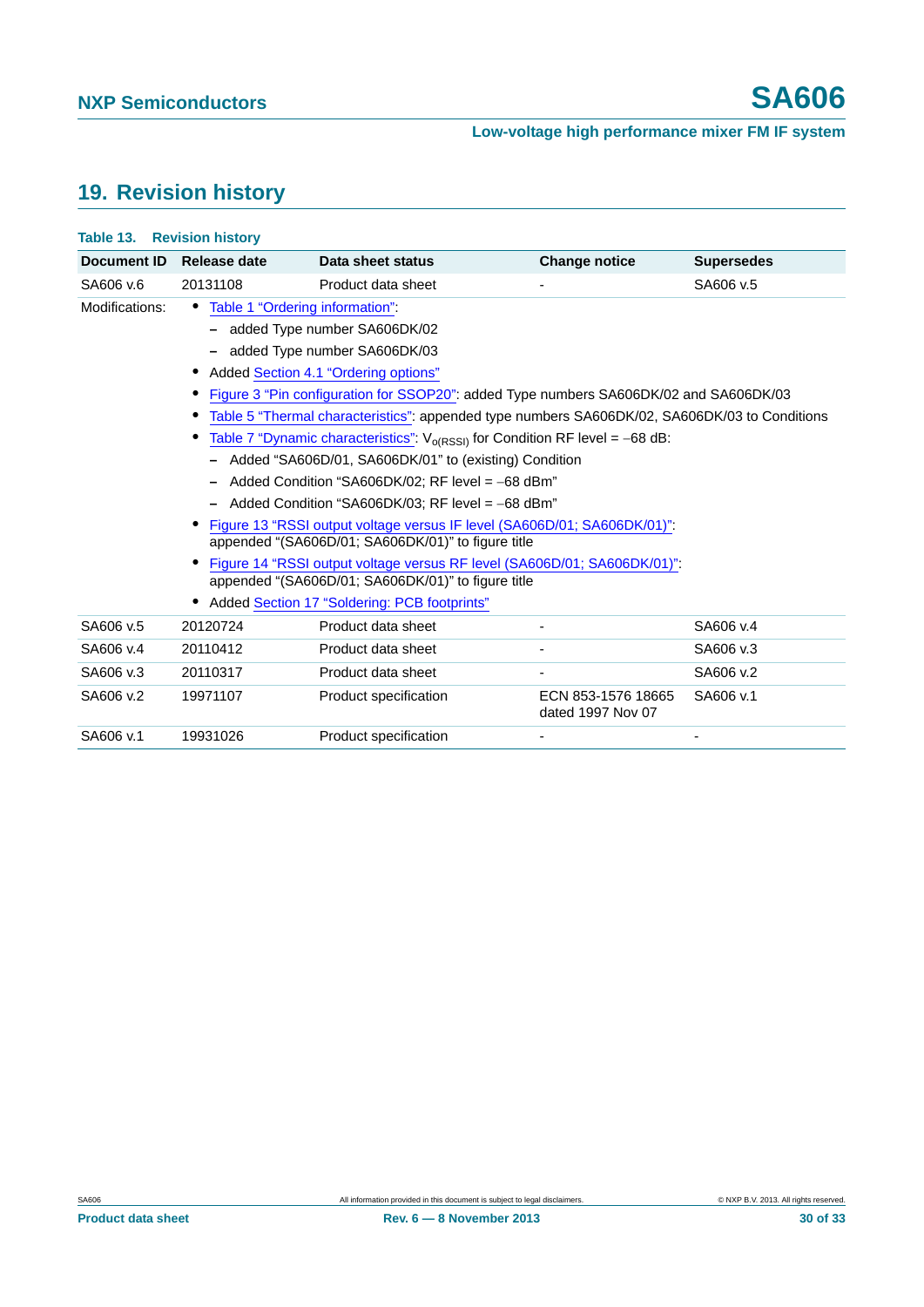# <span id="page-29-0"></span>**19. Revision history**

| <b>Table 13. Revision history</b> |                                                                                                                                |                       |                                         |                   |  |  |  |
|-----------------------------------|--------------------------------------------------------------------------------------------------------------------------------|-----------------------|-----------------------------------------|-------------------|--|--|--|
| Document ID                       | Release date                                                                                                                   | Data sheet status     | <b>Change notice</b>                    | <b>Supersedes</b> |  |  |  |
| SA606 v.6                         | 20131108                                                                                                                       | Product data sheet    |                                         | SA606 v.5         |  |  |  |
| Modifications:                    | Table 1 "Ordering information":                                                                                                |                       |                                         |                   |  |  |  |
|                                   | added Type number SA606DK/02                                                                                                   |                       |                                         |                   |  |  |  |
|                                   | added Type number SA606DK/03                                                                                                   |                       |                                         |                   |  |  |  |
|                                   | Added Section 4.1 "Ordering options"                                                                                           |                       |                                         |                   |  |  |  |
|                                   | Figure 3 "Pin configuration for SSOP20": added Type numbers SA606DK/02 and SA606DK/03                                          |                       |                                         |                   |  |  |  |
|                                   | Table 5 "Thermal characteristics": appended type numbers SA606DK/02, SA606DK/03 to Conditions                                  |                       |                                         |                   |  |  |  |
|                                   | Table 7 "Dynamic characteristics": $V_{o(RSSI)}$ for Condition RF level = -68 dB:                                              |                       |                                         |                   |  |  |  |
|                                   | Added "SA606D/01, SA606DK/01" to (existing) Condition                                                                          |                       |                                         |                   |  |  |  |
|                                   | Added Condition "SA606DK/02; RF level = $-68$ dBm"                                                                             |                       |                                         |                   |  |  |  |
|                                   | Added Condition "SA606DK/03; RF level = $-68$ dBm"                                                                             |                       |                                         |                   |  |  |  |
|                                   | Figure 13 "RSSI output voltage versus IF level (SA606D/01; SA606DK/01)".<br>appended "(SA606D/01; SA606DK/01)" to figure title |                       |                                         |                   |  |  |  |
|                                   | Figure 14 "RSSI output voltage versus RF level (SA606D/01; SA606DK/01)".                                                       |                       |                                         |                   |  |  |  |
|                                   | appended "(SA606D/01; SA606DK/01)" to figure title<br>Added Section 17 "Soldering: PCB footprints"                             |                       |                                         |                   |  |  |  |
|                                   |                                                                                                                                |                       |                                         |                   |  |  |  |
| SA606 v.5                         | 20120724                                                                                                                       | Product data sheet    |                                         | SA606 v.4         |  |  |  |
| SA606 v.4                         | 20110412                                                                                                                       | Product data sheet    |                                         | SA606 v.3         |  |  |  |
| SA606 v.3                         | 20110317                                                                                                                       | Product data sheet    |                                         | SA606 v.2         |  |  |  |
| SA606 v.2                         | 19971107                                                                                                                       | Product specification | ECN 853-1576 18665<br>dated 1997 Nov 07 | SA606 v.1         |  |  |  |
| SA606 v.1                         | 19931026                                                                                                                       | Product specification |                                         |                   |  |  |  |
|                                   |                                                                                                                                |                       |                                         |                   |  |  |  |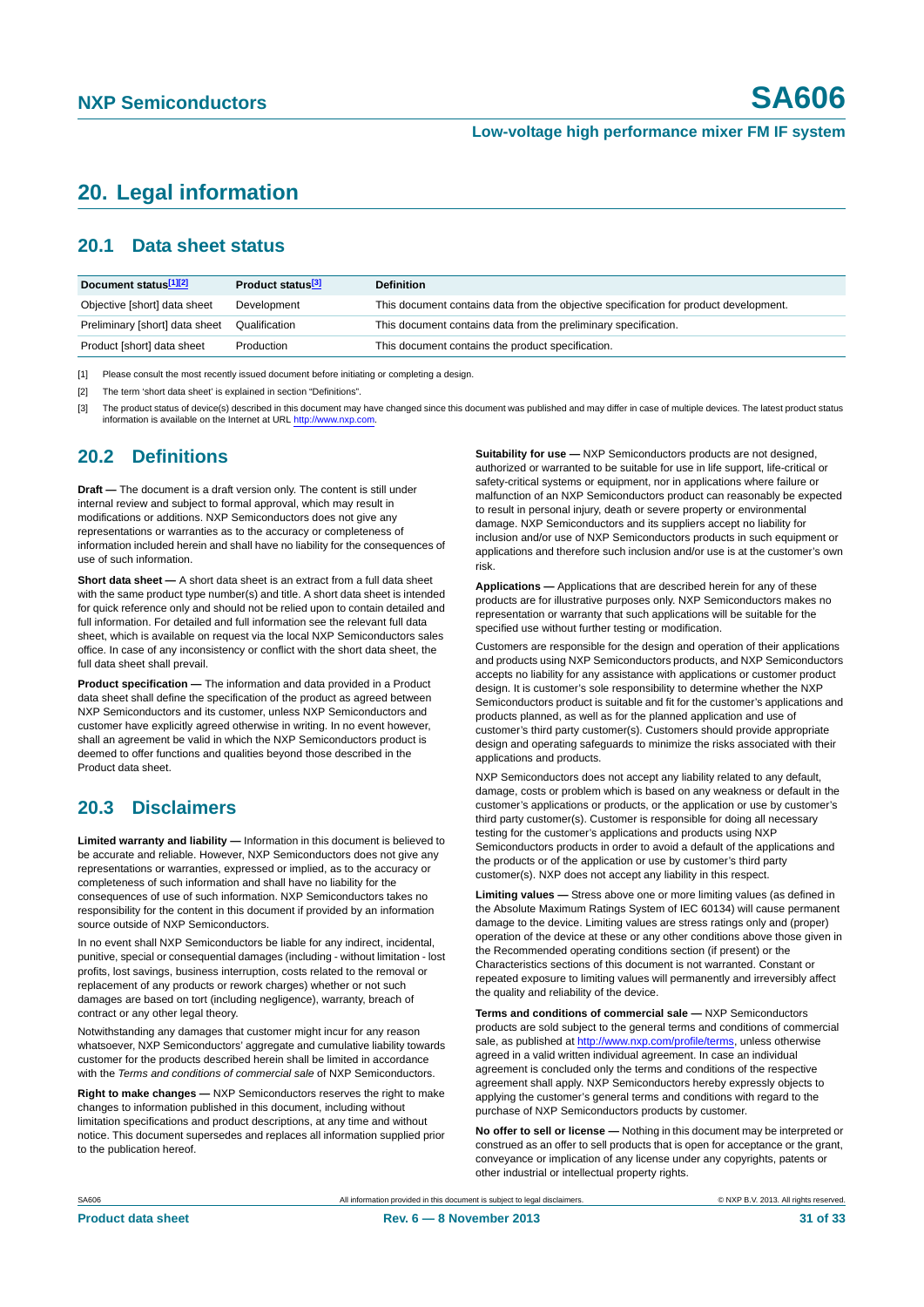## <span id="page-30-3"></span>**20. Legal information**

### <span id="page-30-4"></span>**20.1 Data sheet status**

| Document status[1][2]          | Product status <sup>[3]</sup> | <b>Definition</b>                                                                     |
|--------------------------------|-------------------------------|---------------------------------------------------------------------------------------|
| Objective [short] data sheet   | Development                   | This document contains data from the objective specification for product development. |
| Preliminary [short] data sheet | Qualification                 | This document contains data from the preliminary specification.                       |
| Product [short] data sheet     | Production                    | This document contains the product specification.                                     |

<span id="page-30-0"></span>[1] Please consult the most recently issued document before initiating or completing a design.

<span id="page-30-1"></span>[2] The term 'short data sheet' is explained in section "Definitions".

<span id="page-30-2"></span>[3] The product status of device(s) described in this document may have changed since this document was published and may differ in case of multiple devices. The latest product status<br>information is available on the Intern

### <span id="page-30-5"></span>**20.2 Definitions**

**Draft —** The document is a draft version only. The content is still under internal review and subject to formal approval, which may result in modifications or additions. NXP Semiconductors does not give any representations or warranties as to the accuracy or completeness of information included herein and shall have no liability for the consequences of use of such information.

**Short data sheet —** A short data sheet is an extract from a full data sheet with the same product type number(s) and title. A short data sheet is intended for quick reference only and should not be relied upon to contain detailed and full information. For detailed and full information see the relevant full data sheet, which is available on request via the local NXP Semiconductors sales office. In case of any inconsistency or conflict with the short data sheet, the full data sheet shall prevail.

**Product specification —** The information and data provided in a Product data sheet shall define the specification of the product as agreed between NXP Semiconductors and its customer, unless NXP Semiconductors and customer have explicitly agreed otherwise in writing. In no event however, shall an agreement be valid in which the NXP Semiconductors product is deemed to offer functions and qualities beyond those described in the Product data sheet.

### <span id="page-30-6"></span>**20.3 Disclaimers**

**Limited warranty and liability —** Information in this document is believed to be accurate and reliable. However, NXP Semiconductors does not give any representations or warranties, expressed or implied, as to the accuracy or completeness of such information and shall have no liability for the consequences of use of such information. NXP Semiconductors takes no responsibility for the content in this document if provided by an information source outside of NXP Semiconductors.

In no event shall NXP Semiconductors be liable for any indirect, incidental, punitive, special or consequential damages (including - without limitation - lost profits, lost savings, business interruption, costs related to the removal or replacement of any products or rework charges) whether or not such damages are based on tort (including negligence), warranty, breach of contract or any other legal theory.

Notwithstanding any damages that customer might incur for any reason whatsoever, NXP Semiconductors' aggregate and cumulative liability towards customer for the products described herein shall be limited in accordance with the *Terms and conditions of commercial sale* of NXP Semiconductors.

**Right to make changes —** NXP Semiconductors reserves the right to make changes to information published in this document, including without limitation specifications and product descriptions, at any time and without notice. This document supersedes and replaces all information supplied prior to the publication hereof.

**Suitability for use —** NXP Semiconductors products are not designed, authorized or warranted to be suitable for use in life support, life-critical or safety-critical systems or equipment, nor in applications where failure or malfunction of an NXP Semiconductors product can reasonably be expected to result in personal injury, death or severe property or environmental damage. NXP Semiconductors and its suppliers accept no liability for inclusion and/or use of NXP Semiconductors products in such equipment or applications and therefore such inclusion and/or use is at the customer's own risk.

**Applications —** Applications that are described herein for any of these products are for illustrative purposes only. NXP Semiconductors makes no representation or warranty that such applications will be suitable for the specified use without further testing or modification.

Customers are responsible for the design and operation of their applications and products using NXP Semiconductors products, and NXP Semiconductors accepts no liability for any assistance with applications or customer product design. It is customer's sole responsibility to determine whether the NXP Semiconductors product is suitable and fit for the customer's applications and products planned, as well as for the planned application and use of customer's third party customer(s). Customers should provide appropriate design and operating safeguards to minimize the risks associated with their applications and products.

NXP Semiconductors does not accept any liability related to any default. damage, costs or problem which is based on any weakness or default in the customer's applications or products, or the application or use by customer's third party customer(s). Customer is responsible for doing all necessary testing for the customer's applications and products using NXP Semiconductors products in order to avoid a default of the applications and the products or of the application or use by customer's third party customer(s). NXP does not accept any liability in this respect.

**Limiting values —** Stress above one or more limiting values (as defined in the Absolute Maximum Ratings System of IEC 60134) will cause permanent damage to the device. Limiting values are stress ratings only and (proper) operation of the device at these or any other conditions above those given in the Recommended operating conditions section (if present) or the Characteristics sections of this document is not warranted. Constant or repeated exposure to limiting values will permanently and irreversibly affect the quality and reliability of the device.

**Terms and conditions of commercial sale —** NXP Semiconductors products are sold subject to the general terms and conditions of commercial sale, as published at<http://www.nxp.com/profile/terms>, unless otherwise agreed in a valid written individual agreement. In case an individual agreement is concluded only the terms and conditions of the respective agreement shall apply. NXP Semiconductors hereby expressly objects to applying the customer's general terms and conditions with regard to the purchase of NXP Semiconductors products by customer.

**No offer to sell or license —** Nothing in this document may be interpreted or construed as an offer to sell products that is open for acceptance or the grant, conveyance or implication of any license under any copyrights, patents or other industrial or intellectual property rights.

SA606 All information provided in this document is subject to legal disclaimers. 
SA606 AXP B.V. 2013. All rights reserved.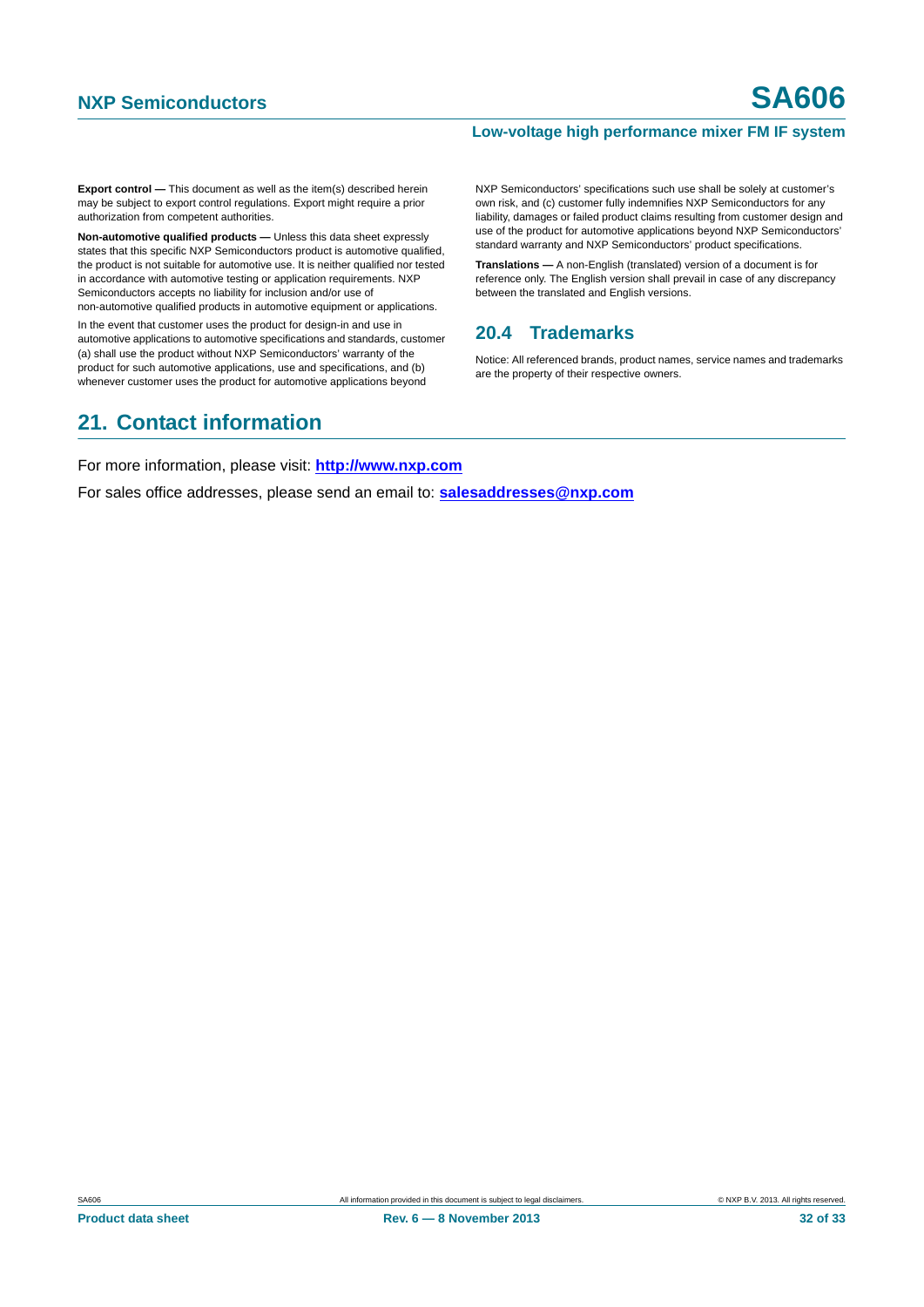**Export control —** This document as well as the item(s) described herein may be subject to export control regulations. Export might require a prior authorization from competent authorities.

**Non-automotive qualified products —** Unless this data sheet expressly states that this specific NXP Semiconductors product is automotive qualified, the product is not suitable for automotive use. It is neither qualified nor tested in accordance with automotive testing or application requirements. NXP Semiconductors accepts no liability for inclusion and/or use of non-automotive qualified products in automotive equipment or applications.

In the event that customer uses the product for design-in and use in automotive applications to automotive specifications and standards, customer (a) shall use the product without NXP Semiconductors' warranty of the product for such automotive applications, use and specifications, and (b) whenever customer uses the product for automotive applications beyond

#### NXP Semiconductors' specifications such use shall be solely at customer's own risk, and (c) customer fully indemnifies NXP Semiconductors for any liability, damages or failed product claims resulting from customer design and use of the product for automotive applications beyond NXP Semiconductors' standard warranty and NXP Semiconductors' product specifications.

**Translations —** A non-English (translated) version of a document is for reference only. The English version shall prevail in case of any discrepancy between the translated and English versions.

### <span id="page-31-0"></span>**20.4 Trademarks**

Notice: All referenced brands, product names, service names and trademarks are the property of their respective owners.

## <span id="page-31-1"></span>**21. Contact information**

For more information, please visit: **http://www.nxp.com**

For sales office addresses, please send an email to: **salesaddresses@nxp.com**